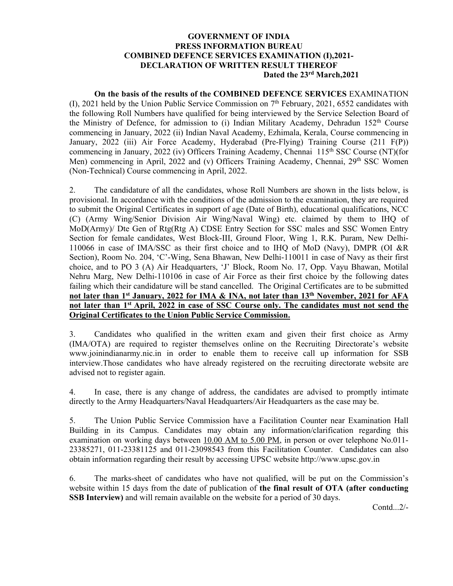#### **GOVERNMENT OF INDIA PRESS INFORMATION BUREAU COMBINED DEFENCE SERVICES EXAMINATION (I),2021- DECLARATION OF WRITTEN RESULT THEREOF Dated the 23rd March,2021**

 **On the basis of the results of the COMBINED DEFENCE SERVICES** EXAMINATION (I), 2021 held by the Union Public Service Commission on 7th February, 2021, 6552 candidates with the following Roll Numbers have qualified for being interviewed by the Service Selection Board of the Ministry of Defence, for admission to (i) Indian Military Academy, Dehradun  $152<sup>th</sup>$  Course commencing in January, 2022 (ii) Indian Naval Academy, Ezhimala, Kerala, Course commencing in January, 2022 (iii) Air Force Academy, Hyderabad (Pre-Flying) Training Course (211 F(P)) commencing in January, 2022 (iv) Officers Training Academy, Chennai 115<sup>th</sup> SSC Course (NT)(for Men) commencing in April, 2022 and (v) Officers Training Academy, Chennai, 29<sup>th</sup> SSC Women (Non-Technical) Course commencing in April, 2022.

2. The candidature of all the candidates, whose Roll Numbers are shown in the lists below, is provisional. In accordance with the conditions of the admission to the examination, they are required to submit the Original Certificates in support of age (Date of Birth), educational qualifications, NCC (C) (Army Wing/Senior Division Air Wing/Naval Wing) etc. claimed by them to IHQ of MoD(Army)/ Dte Gen of Rtg(Rtg A) CDSE Entry Section for SSC males and SSC Women Entry Section for female candidates, West Block-III, Ground Floor, Wing 1, R.K. Puram, New Delhi-110066 in case of IMA/SSC as their first choice and to IHQ of MoD (Navy), DMPR (OI &R Section), Room No. 204, 'C'-Wing, Sena Bhawan, New Delhi-110011 in case of Navy as their first choice, and to PO 3 (A) Air Headquarters, 'J' Block, Room No. 17, Opp. Vayu Bhawan, Motilal Nehru Marg, New Delhi-110106 in case of Air Force as their first choice by the following dates failing which their candidature will be stand cancelled. The Original Certificates are to be submitted **not later than 1st January, 2022 for IMA & INA, not later than 13th November, 2021 for AFA not later than 1st April, 2022 in case of SSC Course only. The candidates must not send the Original Certificates to the Union Public Service Commission.** 

3. Candidates who qualified in the written exam and given their first choice as Army (IMA/OTA) are required to register themselves online on the Recruiting Directorate's website www.joinindianarmy.nic.in in order to enable them to receive call up information for SSB interview.Those candidates who have already registered on the recruiting directorate website are advised not to register again.

4. In case, there is any change of address, the candidates are advised to promptly intimate directly to the Army Headquarters/Naval Headquarters/Air Headquarters as the case may be.

5. The Union Public Service Commission have a Facilitation Counter near Examination Hall Building in its Campus. Candidates may obtain any information/clarification regarding this examination on working days between 10.00 AM to 5.00 PM, in person or over telephone No.011- 23385271, 011-23381125 and 011-23098543 from this Facilitation Counter. Candidates can also obtain information regarding their result by accessing UPSC website http://www.upsc.gov.in

6. The marks-sheet of candidates who have not qualified, will be put on the Commission's website within 15 days from the date of publication of **the final result of OTA (after conducting SSB Interview)** and will remain available on the website for a period of 30 days.

Contd...2/-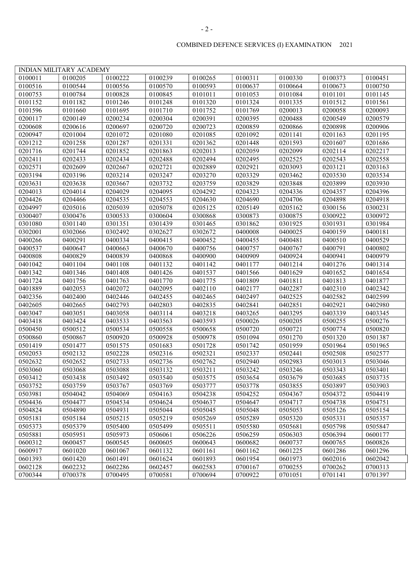|         | <b>INDIAN MILITARY ACADEMY</b> |         |         |         |         |         |         |         |
|---------|--------------------------------|---------|---------|---------|---------|---------|---------|---------|
| 0100011 | 0100205                        | 0100222 | 0100239 | 0100265 | 0100311 | 0100330 | 0100373 | 0100451 |
| 0100516 | 0100544                        | 0100556 | 0100570 | 0100593 | 0100637 | 0100664 | 0100673 | 0100750 |
| 0100753 | 0100784                        | 0100828 | 0100845 | 0101011 | 0101053 | 0101084 | 0101101 | 0101145 |
| 0101152 | 0101182                        | 0101246 | 0101248 | 0101320 | 0101324 | 0101335 | 0101512 | 0101561 |
| 0101596 | 0101660                        | 0101695 | 0101710 | 0101752 | 0101769 | 0200013 | 0200058 | 0200093 |
| 0200117 | 0200149                        | 0200234 | 0200304 | 0200391 | 0200395 | 0200488 | 0200549 | 0200579 |
| 0200608 | 0200616                        | 0200697 | 0200720 | 0200723 | 0200859 | 0200866 | 0200898 | 0200906 |
| 0200947 | 0201004                        | 0201072 | 0201080 | 0201085 | 0201092 | 0201141 | 0201163 | 0201195 |
| 0201212 | 0201258                        | 0201287 | 0201331 | 0201362 | 0201448 | 0201593 | 0201607 | 0201686 |
| 0201716 | 0201744                        | 0201852 | 0201863 | 0202013 | 0202059 | 0202099 | 0202114 | 0202217 |
| 0202411 | 0202433                        | 0202434 | 0202488 | 0202494 | 0202495 | 0202525 | 0202543 | 0202558 |
| 0202571 | 0202609                        | 0202667 | 0202721 | 0202889 | 0202921 | 0203093 | 0203121 | 0203163 |
| 0203194 | 0203196                        | 0203214 | 0203247 | 0203270 | 0203329 | 0203462 | 0203530 | 0203534 |
| 0203631 | 0203638                        | 0203667 | 0203732 | 0203759 | 0203829 | 0203848 | 0203899 | 0203930 |
| 0204013 | 0204014                        | 0204029 | 0204095 | 0204292 | 0204323 | 0204336 | 0204357 | 0204396 |
| 0204426 | 0204466                        | 0204535 | 0204553 | 0204630 | 0204690 | 0204706 | 0204898 | 0204918 |
| 0204997 | 0205016                        | 0205039 | 0205078 | 0205125 | 0205149 | 0205162 | 0300156 | 0300231 |
| 0300407 | 0300476                        | 0300533 | 0300604 | 0300868 | 0300873 | 0300875 | 0300922 | 0300972 |
| 0301080 | 0301140                        | 0301351 | 0301439 | 0301465 | 0301862 | 0301925 | 0301931 | 0301984 |
| 0302001 | 0302066                        | 0302492 | 0302627 | 0302672 | 0400008 | 0400025 | 0400159 | 0400181 |
| 0400266 | 0400291                        | 0400334 | 0400415 | 0400452 | 0400455 | 0400481 | 0400510 | 0400529 |
| 0400537 | 0400647                        | 0400663 | 0400670 | 0400756 | 0400757 | 0400767 | 0400791 | 0400802 |
| 0400808 | 0400829                        | 0400839 | 0400868 | 0400900 | 0400909 | 0400924 | 0400941 | 0400979 |
| 0401042 | 0401104                        | 0401108 | 0401132 | 0401142 | 0401177 | 0401214 | 0401276 | 0401314 |
| 0401342 | 0401346                        | 0401408 | 0401426 | 0401537 | 0401566 | 0401629 | 0401652 | 0401654 |
| 0401724 | 0401756                        | 0401763 | 0401770 | 0401775 | 0401809 | 0401811 | 0401813 | 0401877 |
| 0401889 | 0402053                        | 0402072 | 0402095 | 0402110 | 0402177 | 0402287 | 0402310 | 0402342 |
| 0402356 | 0402400                        | 0402446 | 0402455 | 0402465 | 0402497 | 0402525 | 0402582 | 0402599 |
| 0402605 | 0402665                        | 0402793 | 0402803 | 0402835 | 0402841 | 0402851 | 0402921 | 0402980 |
| 0403047 | 0403051                        | 0403058 | 0403114 | 0403218 | 0403265 | 0403295 | 0403339 | 0403345 |
| 0403418 | 0403424                        | 0403533 | 0403563 | 0403593 | 0500026 | 0500205 | 0500255 | 0500276 |
| 0500450 | 0500512                        | 0500534 | 0500558 | 0500658 | 0500720 | 0500721 | 0500774 | 0500820 |
| 0500860 | 0500867                        | 0500920 | 0500928 | 0500978 | 0501094 | 0501270 | 0501320 | 0501387 |
| 0501419 | 0501477                        | 0501575 | 0501683 | 0501728 | 0501742 | 0501959 | 0501964 | 0501965 |
| 0502053 | 0502132                        | 0502228 | 0502316 | 0502321 | 0502337 | 0502441 | 0502508 | 0502577 |
| 0502632 | 0502652                        | 0502733 | 0502736 | 0502762 | 0502940 | 0502983 | 0503013 | 0503046 |
| 0503060 | 0503068                        | 0503088 | 0503132 | 0503211 | 0503242 | 0503246 | 0503343 | 0503401 |
| 0503412 | 0503438                        | 0503492 | 0503540 | 0503575 | 0503654 | 0503679 | 0503685 | 0503735 |
| 0503752 | 0503759                        | 0503767 | 0503769 | 0503777 | 0503778 | 0503855 | 0503897 | 0503903 |
| 0503981 | 0504042                        | 0504069 | 0504163 | 0504238 | 0504252 | 0504367 | 0504372 | 0504419 |
| 0504436 | 0504477                        | 0504534 | 0504624 | 0504637 | 0504647 | 0504717 | 0504738 | 0504751 |
| 0504824 | 0504890                        | 0504931 | 0505044 | 0505045 | 0505048 | 0505053 | 0505126 | 0505154 |
| 0505181 | 0505184                        | 0505215 | 0505219 | 0505269 | 0505289 | 0505320 | 0505331 | 0505357 |
| 0505373 | 0505379                        | 0505400 | 0505499 | 0505511 | 0505580 | 0505681 | 0505798 | 0505847 |
| 0505881 | 0505951                        | 0505973 | 0506061 | 0506226 | 0506259 | 0506303 | 0506394 | 0600177 |
| 0600312 | 0600457                        | 0600545 | 0600605 | 0600643 | 0600682 | 0600737 | 0600765 | 0600826 |
| 0600917 | 0601020                        | 0601067 | 0601132 | 0601161 | 0601162 | 0601225 | 0601286 | 0601296 |
| 0601393 | 0601420                        | 0601491 | 0601624 | 0601893 | 0601954 | 0601973 | 0602016 | 0602042 |
| 0602128 | 0602232                        | 0602286 | 0602457 | 0602583 | 0700167 | 0700255 | 0700262 | 0700313 |
| 0700344 | 0700378                        | 0700495 | 0700581 | 0700694 | 0700922 | 0701051 | 0701141 | 0701397 |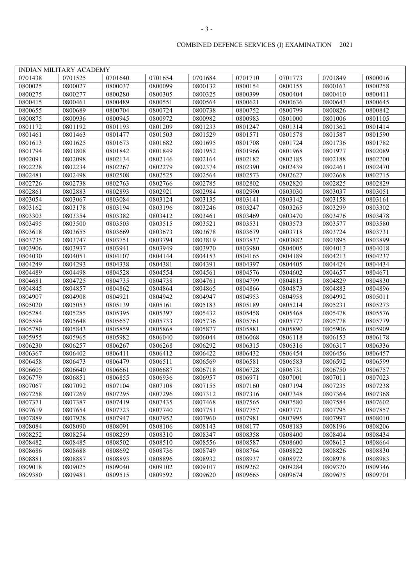|         | INDIAN MILITARY ACADEMY |         |         |         |         |         |         |         |
|---------|-------------------------|---------|---------|---------|---------|---------|---------|---------|
| 0701438 | 0701525                 | 0701640 | 0701654 | 0701684 | 0701710 | 0701773 | 0701849 | 0800016 |
| 0800025 | 0800027                 | 0800037 | 0800099 | 0800132 | 0800154 | 0800155 | 0800163 | 0800258 |
| 0800275 | 0800277                 | 0800280 | 0800305 | 0800325 | 0800399 | 0800404 | 0800410 | 0800411 |
| 0800415 | 0800461                 | 0800489 | 0800551 | 0800564 | 0800621 | 0800636 | 0800643 | 0800645 |
| 0800655 | 0800689                 | 0800704 | 0800724 | 0800738 | 0800752 | 0800799 | 0800826 | 0800842 |
| 0800875 | 0800936                 | 0800945 | 0800972 | 0800982 | 0800983 | 0801000 | 0801006 | 0801105 |
| 0801172 | 0801192                 | 0801193 | 0801209 | 0801233 | 0801247 | 0801314 | 0801362 | 0801414 |
| 0801461 |                         | 0801477 |         | 0801529 | 0801571 | 0801578 | 0801587 | 0801590 |
|         | 0801463                 | 0801673 | 0801503 |         |         | 0801724 |         |         |
| 0801613 | 0801625                 |         | 0801682 | 0801695 | 0801708 |         | 0801736 | 0801782 |
| 0801794 | 0801808                 | 0801842 | 0801849 | 0801952 | 0801966 | 0801968 | 0801977 | 0802089 |
| 0802091 | 0802098                 | 0802134 | 0802146 | 0802164 | 0802182 | 0802185 | 0802188 | 0802200 |
| 0802228 | 0802234                 | 0802267 | 0802279 | 0802374 | 0802390 | 0802439 | 0802461 | 0802470 |
| 0802481 | 0802498                 | 0802508 | 0802525 | 0802564 | 0802573 | 0802627 | 0802668 | 0802715 |
| 0802726 | 0802738                 | 0802763 | 0802766 | 0802785 | 0802802 | 0802820 | 0802825 | 0802829 |
| 0802861 | 0802883                 | 0802893 | 0802921 | 0802984 | 0802990 | 0803030 | 0803037 | 0803051 |
| 0803054 | 0803067                 | 0803084 | 0803124 | 0803135 | 0803141 | 0803142 | 0803158 | 0803161 |
| 0803162 | 0803178                 | 0803194 | 0803196 | 0803246 | 0803247 | 0803265 | 0803299 | 0803302 |
| 0803303 | 0803354                 | 0803382 | 0803412 | 0803461 | 0803469 | 0803470 | 0803476 | 0803478 |
| 0803495 | 0803500                 | 0803503 | 0803515 | 0803521 | 0803531 | 0803573 | 0803577 | 0803580 |
| 0803618 | 0803655                 | 0803669 | 0803673 | 0803678 | 0803679 | 0803718 | 0803724 | 0803731 |
| 0803735 | 0803747                 | 0803751 | 0803794 | 0803819 | 0803837 | 0803882 | 0803895 | 0803899 |
| 0803906 | 0803937                 | 0803941 | 0803949 | 0803970 | 0803980 | 0804005 | 0804013 | 0804018 |
| 0804030 | 0804051                 | 0804107 | 0804144 | 0804153 | 0804165 | 0804189 | 0804213 | 0804237 |
| 0804249 | 0804293                 | 0804338 | 0804381 | 0804391 | 0804397 | 0804405 | 0804424 | 0804434 |
| 0804489 | 0804498                 | 0804528 | 0804554 | 0804561 | 0804576 | 0804602 | 0804657 | 0804671 |
| 0804681 | 0804725                 | 0804735 | 0804738 | 0804761 | 0804799 | 0804815 | 0804829 | 0804830 |
| 0804845 | 0804857                 | 0804862 | 0804864 | 0804865 | 0804866 | 0804873 | 0804883 | 0804896 |
| 0804907 | 0804908                 | 0804921 | 0804942 | 0804947 | 0804953 | 0804958 | 0804992 | 0805011 |
| 0805020 | 0805053                 | 0805139 | 0805161 | 0805183 | 0805189 | 0805214 | 0805231 | 0805273 |
| 0805284 | 0805285                 | 0805395 | 0805397 | 0805432 | 0805458 | 0805468 | 0805478 | 0805576 |
| 0805594 | 0805648                 | 0805657 | 0805733 | 0805736 | 0805761 | 0805777 | 0805778 | 0805779 |
| 0805780 | 0805843                 | 0805859 | 0805868 | 0805877 | 0805881 | 0805890 | 0805906 | 0805909 |
| 0805955 | 0805965                 | 0805982 | 0806040 | 0806044 | 0806068 | 0806118 | 0806153 | 0806178 |
| 0806230 | 0806257                 | 0806267 | 0806268 | 0806292 | 0806315 | 0806316 | 0806317 | 0806336 |
| 0806367 | 0806402                 | 0806411 | 0806412 | 0806422 | 0806432 | 0806454 | 0806456 | 0806457 |
| 0806458 | 0806473                 | 0806479 | 0806511 | 0806569 | 0806581 | 0806583 | 0806592 | 0806599 |
| 0806605 | 0806640                 | 0806661 | 0806687 | 0806718 | 0806728 | 0806731 | 0806750 | 0806757 |
| 0806779 | 0806851                 | 0806855 | 0806936 | 0806957 | 0806971 | 0807001 | 0807011 | 0807023 |
| 0807067 | 0807092                 | 0807104 | 0807108 | 0807155 | 0807160 | 0807194 | 0807235 | 0807238 |
| 0807258 | 0807269                 | 0807295 | 0807296 | 0807312 | 0807316 | 0807348 | 0807364 | 0807368 |
| 0807371 | 0807387                 | 0807419 | 0807435 | 0807468 | 0807565 | 0807580 | 0807584 | 0807602 |
| 0807619 | 0807654                 | 0807723 | 0807740 | 0807751 | 0807757 | 0807771 | 0807795 | 0807857 |
| 0807889 | 0807928                 | 0807947 | 0807952 | 0807960 | 0807981 | 0807995 | 0807997 | 0808010 |
| 0808084 | 0808090                 | 0808091 | 0808106 | 0808143 | 0808177 | 0808183 | 0808196 | 0808206 |
| 0808252 | 0808254                 | 0808259 | 0808310 | 0808347 | 0808358 | 0808400 | 0808404 | 0808434 |
| 0808482 | 0808485                 | 0808502 | 0808510 | 0808556 | 0808587 | 0808600 | 0808613 | 0808664 |
| 0808686 | 0808688                 | 0808692 | 0808736 | 0808749 | 0808764 | 0808822 | 0808826 | 0808830 |
| 0808881 | 0808887                 | 0808893 | 0808896 | 0808932 | 0808937 | 0808972 | 0808978 | 0808983 |
| 0809018 | 0809025                 | 0809040 | 0809102 | 0809107 | 0809262 | 0809284 | 0809320 | 0809346 |
| 0809380 | 0809481                 | 0809515 | 0809592 | 0809620 | 0809665 | 0809674 | 0809675 | 0809701 |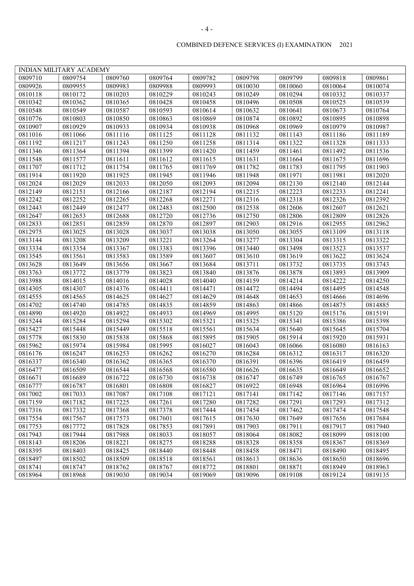|--|

|         | <b>INDIAN MILITARY ACADEMY</b> |         |         |         |         |                    |         |         |
|---------|--------------------------------|---------|---------|---------|---------|--------------------|---------|---------|
| 0809710 | 0809754                        | 0809760 | 0809764 | 0809782 | 0809798 | 0809799            | 0809818 | 0809861 |
| 0809926 | 0809955                        | 0809983 | 0809988 | 0809993 | 0810030 | 0810060            | 0810064 | 0810074 |
| 0810118 | 0810172                        | 0810203 | 0810229 | 0810243 | 0810249 | 0810294            | 0810332 | 0810337 |
| 0810342 | 0810362                        | 0810365 | 0810428 | 0810458 | 0810496 | 0810508            | 0810525 | 0810539 |
| 0810548 | 0810549                        | 0810587 | 0810593 | 0810614 | 0810632 | 0810641            | 0810673 | 0810764 |
| 0810776 | 0810803                        | 0810850 | 0810863 | 0810869 | 0810874 | 0810892            | 0810895 | 0810898 |
| 0810907 | 0810929                        | 0810933 | 0810934 | 0810938 | 0810968 | 0810969            | 0810979 | 0810987 |
| 0811016 | 0811066                        | 0811116 | 0811125 | 0811128 | 0811132 | 0811143            | 0811186 | 0811189 |
| 0811192 | 0811217                        | 0811243 | 0811250 | 0811258 | 0811314 | 0811322            | 0811328 | 0811333 |
| 0811346 | 0811364                        | 0811394 | 0811399 | 0811420 | 0811459 | 0811461            | 0811492 | 0811536 |
| 0811548 | 0811577                        | 0811611 | 0811612 | 0811615 | 0811631 | 0811664            | 0811675 | 0811696 |
| 0811707 | 0811712                        | 0811754 | 0811765 | 0811769 | 0811782 | 0811783            | 0811795 | 0811903 |
| 0811914 | 0811920                        | 0811925 | 0811945 | 0811946 | 0811948 | 0811971            | 0811981 | 0812020 |
| 0812024 | 0812029                        | 0812033 | 0812050 | 0812093 | 0812094 | 0812130            | 0812140 | 0812144 |
| 0812149 | 0812151                        | 0812166 | 0812187 | 0812194 | 0812215 | 0812223            | 0812233 | 0812241 |
| 0812242 | 0812252                        | 0812265 | 0812268 | 0812271 | 0812316 | 0812318            | 0812326 | 0812392 |
| 0812443 | 0812449                        | 0812477 | 0812483 | 0812500 | 0812538 | 0812606            | 0812607 | 0812621 |
| 0812647 | 0812653                        | 0812688 | 0812720 | 0812736 | 0812750 | 0812806            | 0812809 | 0812826 |
| 0812833 | 0812851                        | 0812859 | 0812870 | 0812897 | 0812903 | 0812916            | 0812955 | 0812962 |
| 0812975 | 0813025                        | 0813028 | 0813037 | 0813038 | 0813050 | 0813055            | 0813109 | 0813118 |
| 0813144 | 0813208                        | 0813209 | 0813221 | 0813264 | 0813277 | 0813304            | 0813315 | 0813322 |
| 0813334 | 0813354                        | 0813367 | 0813383 | 0813396 | 0813440 | 0813498            | 0813523 | 0813537 |
| 0813545 | 0813561                        | 0813583 | 0813589 | 0813607 | 0813610 | 0813619            | 0813622 | 0813624 |
| 0813628 | 0813649                        | 0813656 | 0813667 | 0813684 | 0813711 | 0813732            | 0813735 | 0813743 |
| 0813763 | 0813772                        | 0813779 | 0813823 | 0813840 | 0813876 | 0813878            | 0813893 | 0813909 |
| 0813988 | 0814015                        | 0814016 | 0814028 | 0814040 | 0814159 | 0814214            | 0814222 | 0814250 |
| 0814305 | 0814307                        | 0814376 | 0814411 | 0814471 | 0814472 | 0814494            | 0814495 | 0814548 |
| 0814555 | 0814565                        | 0814625 | 0814627 | 0814629 | 0814648 | 0814653            | 0814666 | 0814696 |
| 0814702 | 0814740                        | 0814785 | 0814835 | 0814859 | 0814863 | 0814866            | 0814875 | 0814885 |
| 0814890 | 0814920                        | 0814922 | 0814933 | 0814969 | 0814995 | 0815120            | 0815176 | 0815191 |
| 0815244 | 0815284                        | 0815294 | 0815302 | 0815321 | 0815325 | 0815341            | 0815386 | 0815398 |
|         |                                |         |         |         |         |                    |         |         |
| 0815427 | 0815448                        | 0815449 | 0815518 | 0815561 | 0815634 | 0815640<br>0815914 | 0815645 | 0815704 |
| 0815778 | 0815830                        | 0815838 | 0815868 | 0815895 | 0815905 |                    | 0815920 | 0815931 |
| 0815962 | 0815974                        | 0815984 | 0815995 | 0816027 | 0816043 | 0816066            | 0816080 | 0816163 |
| 0816176 | 0816247                        | 0816253 | 0816262 | 0816270 | 0816284 | 0816312            | 0816317 | 0816320 |
| 0816337 | 0816340                        | 0816362 | 0816365 | 0816370 | 0816391 | 0816396            | 0816419 | 0816459 |
| 0816477 | 0816509                        | 0816544 | 0816568 | 0816580 | 0816626 | 0816635            | 0816649 | 0816652 |
| 0816671 | 0816689                        | 0816722 | 0816730 | 0816738 | 0816747 | 0816749            | 0816765 | 0816767 |
| 0816777 | 0816787                        | 0816801 | 0816808 | 0816827 | 0816922 | 0816948            | 0816964 | 0816996 |
| 0817002 | 0817033                        | 0817087 | 0817108 | 0817121 | 0817141 | 0817142            | 0817146 | 0817157 |
| 0817159 | 0817182                        | 0817225 | 0817261 | 0817280 | 0817282 | 0817291            | 0817293 | 0817312 |
| 0817316 | 0817332                        | 0817368 | 0817378 | 0817444 | 0817454 | 0817462            | 0817474 | 0817548 |
| 0817554 | 0817567                        | 0817573 | 0817601 | 0817615 | 0817630 | 0817649            | 0817656 | 0817684 |
| 0817753 | 0817772                        | 0817828 | 0817853 | 0817891 | 0817903 | 0817911            | 0817917 | 0817940 |
| 0817943 | 0817944                        | 0817988 | 0818033 | 0818057 | 0818064 | 0818082            | 0818099 | 0818100 |
| 0818143 | 0818206                        | 0818221 | 0818275 | 0818288 | 0818328 | 0818358            | 0818367 | 0818369 |
| 0818395 | 0818403                        | 0818425 | 0818440 | 0818448 | 0818458 | 0818471            | 0818490 | 0818495 |
| 0818497 | 0818502                        | 0818509 | 0818518 | 0818561 | 0818613 | 0818636            | 0818650 | 0818696 |
| 0818741 | 0818747                        | 0818762 | 0818767 | 0818772 | 0818801 | 0818871            | 0818949 | 0818963 |
| 0818964 | 0818968                        | 0819030 | 0819034 | 0819069 | 0819096 | 0819108            | 0819124 | 0819135 |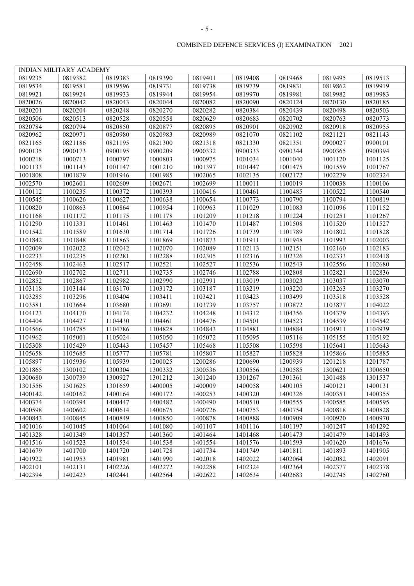|         | <b>INDIAN MILITARY ACADEMY</b> |         |         |         |         |         |         |         |
|---------|--------------------------------|---------|---------|---------|---------|---------|---------|---------|
| 0819235 | 0819382                        | 0819383 | 0819390 | 0819401 | 0819408 | 0819468 | 0819495 | 0819513 |
| 0819534 | 0819581                        | 0819596 | 0819731 | 0819738 | 0819739 | 0819831 | 0819862 | 0819919 |
| 0819921 | 0819924                        | 0819933 | 0819944 | 0819954 | 0819970 | 0819981 | 0819982 | 0819983 |
| 0820026 | 0820042                        | 0820043 | 0820044 | 0820082 | 0820090 | 0820124 | 0820130 | 0820185 |
| 0820201 | 0820204                        | 0820248 | 0820270 | 0820282 | 0820384 | 0820439 | 0820498 | 0820503 |
| 0820506 | 0820513                        | 0820528 | 0820558 | 0820629 | 0820683 | 0820702 | 0820763 | 0820773 |
| 0820784 | 0820794                        | 0820850 | 0820877 | 0820895 | 0820901 | 0820902 | 0820918 | 0820955 |
| 0820962 | 0820971                        | 0820980 | 0820983 | 0820989 | 0821070 | 0821102 | 0821121 | 0821143 |
| 0821165 | 0821186                        | 0821195 | 0821300 | 0821318 | 0821330 | 0821351 | 0900027 | 0900101 |
| 0900135 | 0900173                        | 0900195 | 0900209 | 0900332 | 0900333 | 0900344 | 0900365 | 0900394 |
| 1000218 | 1000713                        | 1000797 | 1000803 | 1000975 | 1001034 | 1001040 | 1001120 | 1001125 |
| 1001133 | 1001143                        | 1001147 | 1001210 | 1001397 | 1001447 | 1001475 | 1001559 | 1001767 |
| 1001808 | 1001879                        | 1001946 | 1001985 | 1002065 | 1002135 | 1002172 | 1002279 | 1002324 |
| 1002570 | 1002601                        | 1002609 | 1002671 | 1002699 | 1100011 | 1100019 | 1100038 | 1100106 |
| 1100112 | 1100235                        | 1100372 | 1100393 | 1100416 | 1100461 | 1100485 | 1100522 | 1100540 |
| 1100545 | 1100626                        | 1100627 | 1100638 | 1100654 | 1100773 | 1100790 | 1100794 | 1100819 |
| 1100820 | 1100863                        | 1100864 | 1100954 | 1100963 | 1101029 | 1101083 | 1101096 | 1101152 |
| 1101168 | 1101172                        | 1101175 | 1101178 | 1101209 | 1101218 | 1101224 | 1101251 | 1101267 |
| 1101290 | 1101331                        | 1101461 | 1101463 | 1101470 | 1101487 | 1101508 | 1101520 | 1101527 |
| 1101542 | 1101589                        | 1101630 | 1101714 | 1101726 | 1101739 | 1101789 | 1101802 | 1101828 |
| 1101842 | 1101848                        | 1101863 | 1101869 | 1101873 | 1101911 | 1101948 | 1101993 | 1102003 |
| 1102009 | 1102022                        | 1102042 | 1102070 | 1102089 | 1102113 | 1102151 | 1102160 | 1102183 |
| 1102233 | 1102235                        | 1102281 | 1102288 | 1102305 | 1102316 | 1102326 | 1102333 | 1102418 |
| 1102458 | 1102463                        | 1102517 | 1102521 | 1102527 | 1102536 | 1102543 | 1102556 | 1102680 |
| 1102690 | 1102702                        | 1102711 | 1102735 | 1102746 | 1102788 | 1102808 | 1102821 | 1102836 |
| 1102852 | 1102867                        | 1102982 | 1102990 | 1102991 | 1103019 | 1103023 | 1103037 | 1103070 |
| 1103118 | 1103144                        | 1103170 | 1103172 | 1103187 | 1103219 | 1103220 | 1103263 | 1103270 |
| 1103285 | 1103296                        | 1103404 | 1103411 | 1103421 | 1103423 | 1103499 | 1103518 | 1103528 |
| 1103581 | 1103664                        | 1103680 | 1103691 | 1103739 | 1103757 | 1103872 | 1103877 | 1104022 |
| 1104123 | 1104170                        | 1104174 | 1104232 | 1104248 | 1104312 | 1104356 | 1104379 | 1104393 |
| 1104404 | 1104427                        | 1104430 | 1104461 | 1104476 | 1104501 | 1104523 | 1104539 | 1104542 |
| 1104566 | 1104785                        | 1104786 | 1104828 | 1104843 | 1104881 | 1104884 | 1104911 | 1104939 |
| 1104962 | 1105001                        | 1105024 | 1105050 | 1105072 | 1105095 | 1105116 | 1105155 | 1105192 |
| 1105308 | 1105429                        | 1105443 | 1105457 | 1105468 | 1105508 | 1105598 | 1105641 | 1105643 |
| 1105658 | 1105685                        | 1105777 | 1105781 | 1105807 | 1105827 | 1105828 | 1105866 | 1105885 |
| 1105897 | 1105936                        | 1105939 | 1200025 | 1200286 | 1200690 | 1200939 | 1201218 | 1201787 |
| 1201865 | 1300102                        | 1300304 | 1300332 | 1300536 | 1300556 | 1300585 | 1300621 | 1300650 |
| 1300680 | 1300739                        | 1300927 | 1301212 | 1301240 | 1301267 | 1301361 | 1301488 | 1301537 |
| 1301556 | 1301625                        | 1301659 | 1400005 | 1400009 | 1400058 | 1400105 | 1400121 | 1400131 |
| 1400142 | 1400162                        | 1400164 | 1400172 | 1400253 | 1400320 | 1400326 | 1400351 | 1400355 |
| 1400374 | 1400394                        | 1400447 | 1400482 | 1400490 | 1400510 | 1400555 | 1400585 | 1400595 |
| 1400598 | 1400602                        | 1400614 | 1400675 | 1400726 | 1400753 | 1400754 | 1400818 | 1400828 |
| 1400843 | 1400845                        | 1400849 | 1400850 | 1400878 | 1400888 | 1400909 | 1400920 | 1400970 |
| 1401016 | 1401045                        | 1401064 | 1401080 | 1401107 | 1401116 | 1401197 | 1401247 | 1401292 |
| 1401328 | 1401349                        | 1401357 | 1401360 | 1401464 | 1401468 | 1401473 | 1401479 | 1401493 |
| 1401516 | 1401523                        | 1401534 | 1401538 | 1401554 | 1401576 | 1401593 | 1401620 | 1401676 |
| 1401679 | 1401700                        | 1401720 | 1401728 | 1401734 | 1401749 | 1401811 | 1401893 | 1401905 |
| 1401922 | 1401953                        | 1401981 | 1401990 | 1402018 | 1402022 | 1402064 | 1402082 | 1402091 |
| 1402101 | 1402131                        | 1402226 | 1402272 | 1402288 | 1402324 | 1402364 | 1402377 | 1402378 |
| 1402394 | 1402423                        | 1402441 | 1402564 | 1402622 | 1402634 | 1402683 | 1402745 | 1402760 |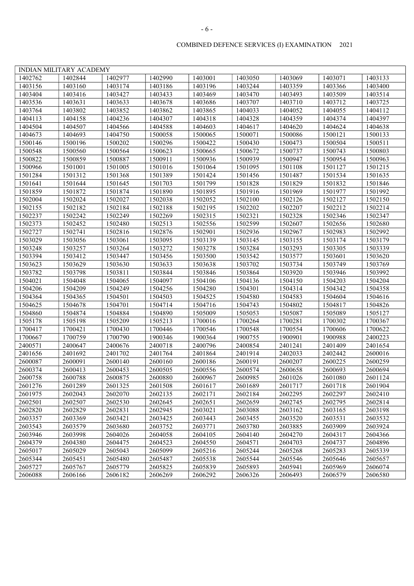|         | INDIAN MILITARY ACADEMY |         |         |         |         |         |         |         |
|---------|-------------------------|---------|---------|---------|---------|---------|---------|---------|
| 1402762 | 1402844                 | 1402977 | 1402990 | 1403001 | 1403050 | 1403069 | 1403071 | 1403133 |
| 1403156 | 1403160                 | 1403174 | 1403186 | 1403196 | 1403244 | 1403359 | 1403366 | 1403400 |
| 1403404 | 1403416                 | 1403427 | 1403433 | 1403469 | 1403470 | 1403493 | 1403509 | 1403514 |
| 1403536 | 1403631                 | 1403633 | 1403678 | 1403686 | 1403707 | 1403710 | 1403712 | 1403725 |
| 1403764 | 1403802                 | 1403852 | 1403862 | 1403865 | 1404033 | 1404052 | 1404055 | 1404112 |
| 1404113 | 1404158                 | 1404236 | 1404307 | 1404318 | 1404328 | 1404359 | 1404374 | 1404397 |
| 1404504 | 1404507                 | 1404566 | 1404588 | 1404603 | 1404617 | 1404620 | 1404624 | 1404638 |
| 1404673 | 1404693                 | 1404750 | 1500058 | 1500065 | 1500071 | 1500086 | 1500121 | 1500133 |
| 1500146 | 1500196                 | 1500202 | 1500296 | 1500422 | 1500430 | 1500473 | 1500504 | 1500511 |
| 1500548 | 1500560                 | 1500564 | 1500623 | 1500665 | 1500672 | 1500737 | 1500743 | 1500803 |
| 1500822 | 1500859                 | 1500887 | 1500911 | 1500936 | 1500939 | 1500947 | 1500954 | 1500963 |
| 1500966 | 1501001                 | 1501005 | 1501016 | 1501064 | 1501095 | 1501108 | 1501127 | 1501215 |
| 1501284 | 1501312                 | 1501368 | 1501389 | 1501424 | 1501456 | 1501487 | 1501534 | 1501635 |
| 1501641 | 1501644                 | 1501645 | 1501703 | 1501799 | 1501828 | 1501829 | 1501832 | 1501846 |
| 1501859 | 1501872                 | 1501874 | 1501890 | 1501895 | 1501916 | 1501969 | 1501977 | 1501992 |
| 1502004 | 1502024                 | 1502027 | 1502038 | 1502052 | 1502100 | 1502126 | 1502127 | 1502150 |
| 1502155 | 1502182                 | 1502184 | 1502188 | 1502195 | 1502202 | 1502207 | 1502212 | 1502214 |
| 1502237 | 1502242                 | 1502249 | 1502269 | 1502315 | 1502321 | 1502328 | 1502346 | 1502347 |
| 1502373 | 1502452                 | 1502480 | 1502513 | 1502556 | 1502599 | 1502607 | 1502656 | 1502680 |
| 1502727 | 1502741                 | 1502816 | 1502876 | 1502901 | 1502936 | 1502967 | 1502983 | 1502992 |
| 1503029 | 1503056                 | 1503061 | 1503095 | 1503139 | 1503145 | 1503155 | 1503174 | 1503179 |
| 1503248 | 1503257                 | 1503264 | 1503272 | 1503278 | 1503284 | 1503293 | 1503305 | 1503339 |
| 1503394 | 1503412                 | 1503447 | 1503456 | 1503500 | 1503542 | 1503577 | 1503601 | 1503620 |
| 1503623 | 1503629                 | 1503630 | 1503633 | 1503638 | 1503702 | 1503734 | 1503749 | 1503769 |
| 1503782 | 1503798                 | 1503811 | 1503844 | 1503846 | 1503864 | 1503920 | 1503946 | 1503992 |
| 1504021 | 1504048                 | 1504065 | 1504097 | 1504106 | 1504136 | 1504150 | 1504203 | 1504204 |
| 1504206 | 1504209                 | 1504249 | 1504256 | 1504280 | 1504301 | 1504314 | 1504342 | 1504358 |
| 1504364 | 1504365                 | 1504501 | 1504503 | 1504525 | 1504580 | 1504583 | 1504604 | 1504616 |
| 1504625 | 1504678                 | 1504701 | 1504714 | 1504716 | 1504743 | 1504802 | 1504817 | 1504826 |
| 1504860 | 1504874                 | 1504884 | 1504890 | 1505009 | 1505053 | 1505087 | 1505089 | 1505127 |
| 1505178 | 1505198                 | 1505209 | 1505213 | 1700016 | 1700264 | 1700281 | 1700302 | 1700367 |
| 1700417 | 1700421                 | 1700430 | 1700446 | 1700546 | 1700548 | 1700554 | 1700606 | 1700622 |
| 1700667 | 1700759                 | 1700790 | 1900346 | 1900364 | 1900755 | 1900901 | 1900988 | 2400223 |
| 2400571 | 2400647                 | 2400676 | 2400718 | 2400796 | 2400854 | 2401241 | 2401409 | 2401654 |
| 2401656 | 2401692                 | 2401702 | 2401764 | 2401864 | 2401914 | 2402033 | 2402442 | 2600016 |
| 2600087 | 2600091                 | 2600140 | 2600160 | 2600186 | 2600191 | 2600207 | 2600225 | 2600259 |
| 2600374 | 2600413                 | 2600453 | 2600505 | 2600556 | 2600574 | 2600658 | 2600693 | 2600694 |
| 2600758 | 2600788                 | 2600875 | 2600880 | 2600967 | 2600985 | 2601026 | 2601080 | 2601124 |
| 2601276 | 2601289                 | 2601325 | 2601508 | 2601617 | 2601689 | 2601717 | 2601718 | 2601904 |
| 2601975 | 2602043                 | 2602070 | 2602135 | 2602171 | 2602184 | 2602295 | 2602297 | 2602410 |
| 2602501 | 2602507                 | 2602530 | 2602645 | 2602651 | 2602659 | 2602745 | 2602795 | 2602814 |
| 2602820 | 2602829                 | 2602831 | 2602945 | 2603021 | 2603088 | 2603162 | 2603165 | 2603198 |
| 2603357 | 2603369                 | 2603421 | 2603425 | 2603443 | 2603455 | 2603520 | 2603531 | 2603532 |
| 2603543 | 2603579                 | 2603680 | 2603752 | 2603771 | 2603780 | 2603885 | 2603909 | 2603924 |
| 2603946 | 2603998                 | 2604026 | 2604058 | 2604105 | 2604140 | 2604270 | 2604317 | 2604366 |
| 2604379 | 2604380                 | 2604475 | 2604523 | 2604550 | 2604571 | 2604703 | 2604737 | 2604896 |
| 2605017 | 2605029                 | 2605043 | 2605099 | 2605216 | 2605244 | 2605268 | 2605283 | 2605339 |
| 2605344 | 2605451                 | 2605480 | 2605487 | 2605538 | 2605544 | 2605546 | 2605646 | 2605657 |
| 2605727 | 2605767                 | 2605779 | 2605825 | 2605839 | 2605893 | 2605941 | 2605969 | 2606074 |
| 2606088 | 2606166                 | 2606182 | 2606269 | 2606292 | 2606326 | 2606493 | 2606579 | 2606580 |
|         |                         |         |         |         |         |         |         |         |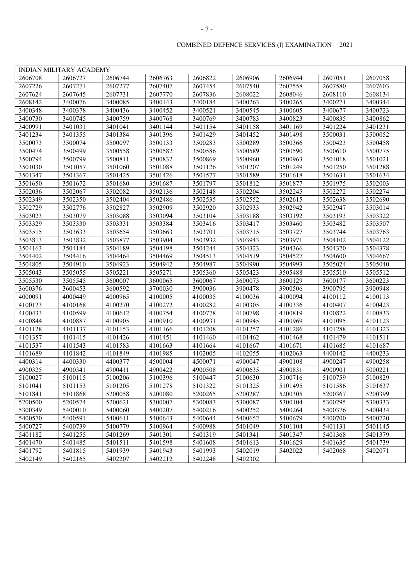|         | <b>INDIAN MILITARY ACADEMY</b> |         |         |         |         |         |         |         |
|---------|--------------------------------|---------|---------|---------|---------|---------|---------|---------|
| 2606708 | 2606727                        | 2606744 | 2606763 | 2606822 | 2606906 | 2606944 | 2607051 | 2607058 |
| 2607226 | 2607271                        | 2607277 | 2607407 | 2607454 | 2607540 | 2607558 | 2607580 | 2607603 |
| 2607624 | 2607645                        | 2607731 | 2607770 | 2607836 | 2608022 | 2608046 | 2608110 | 2608134 |
| 2608142 | 3400076                        | 3400085 | 3400143 | 3400184 | 3400263 | 3400265 | 3400271 | 3400344 |
| 3400348 | 3400378                        | 3400436 | 3400452 | 3400521 | 3400545 | 3400605 | 3400677 | 3400723 |
| 3400730 | 3400745                        | 3400759 | 3400768 | 3400769 | 3400783 | 3400823 | 3400835 | 3400862 |
| 3400991 | 3401031                        | 3401041 | 3401144 | 3401154 | 3401158 | 3401169 | 3401224 | 3401231 |
| 3401234 | 3401355                        | 3401384 | 3401396 | 3401429 | 3401452 | 3401498 | 3500031 | 3500052 |
| 3500073 | 3500074                        | 3500097 | 3500133 | 3500283 | 3500289 | 3500366 | 3500423 | 3500458 |
| 3500474 | 3500499                        | 3500558 | 3500582 | 3500586 | 3500589 | 3500590 | 3500610 | 3500775 |
| 3500794 | 3500799                        | 3500811 | 3500832 | 3500869 | 3500960 | 3500963 | 3501018 | 3501021 |
| 3501030 | 3501057                        | 3501060 | 3501088 | 3501126 | 3501207 | 3501249 | 3501250 | 3501288 |
| 3501347 | 3501367                        | 3501425 | 3501426 | 3501577 | 3501589 | 3501618 | 3501631 | 3501634 |
| 3501650 | 3501672                        | 3501680 | 3501687 | 3501797 | 3501812 | 3501877 | 3501975 | 3502003 |
| 3502036 | 3502067                        | 3502082 | 3502136 | 3502148 | 3502204 | 3502245 | 3502272 | 3502274 |
| 3502349 | 3502350                        | 3502404 | 3502486 | 3502535 | 3502552 | 3502615 | 3502638 | 3502690 |
| 3502729 | 3502776                        | 3502827 | 3502909 | 3502920 | 3502933 | 3502942 | 3502947 | 3503014 |
| 3503023 | 3503079                        | 3503088 | 3503094 | 3503104 | 3503188 | 3503192 | 3503193 | 3503322 |
| 3503329 | 3503330                        | 3503331 | 3503384 | 3503416 | 3503417 | 3503460 | 3503482 | 3503507 |
| 3503515 | 3503633                        | 3503654 | 3503663 | 3503701 | 3503715 | 3503727 | 3503744 | 3503763 |
| 3503813 | 3503832                        | 3503877 | 3503904 | 3503932 | 3503943 | 3503971 | 3504102 | 3504122 |
| 3504163 | 3504184                        | 3504189 | 3504198 | 3504244 | 3504323 | 3504366 | 3504370 | 3504378 |
| 3504402 | 3504416                        | 3504464 | 3504469 | 3504513 | 3504519 | 3504527 | 3504600 | 3504667 |
| 3504805 | 3504910                        | 3504923 | 3504942 | 3504987 | 3504990 | 3504993 | 3505024 | 3505040 |
| 3505043 | 3505055                        | 3505221 | 3505271 | 3505360 | 3505423 | 3505488 | 3505510 | 3505512 |
| 3505530 | 3505545                        | 3600007 | 3600065 | 3600067 | 3600073 | 3600129 | 3600177 | 3600223 |
| 3600376 | 3600453                        | 3600592 | 3700030 | 3900036 | 3900478 | 3900506 | 3900795 | 3900948 |
| 4000091 | 4000449                        | 4000965 | 4100005 | 4100035 | 4100036 | 4100094 | 4100112 | 4100113 |
| 4100123 | 4100168                        | 4100270 | 4100272 | 4100282 | 4100305 | 4100336 | 4100407 | 4100423 |
| 4100433 | 4100599                        | 4100612 | 4100754 | 4100778 | 4100798 | 4100819 | 4100822 | 4100833 |
| 4100844 | 4100887                        | 4100905 | 4100910 | 4100931 | 4100945 | 4100969 | 4101095 | 4101123 |
| 4101128 | 4101137                        | 4101153 | 4101166 | 4101208 | 4101257 | 4101286 | 4101288 | 4101323 |
| 4101357 | 4101415                        | 4101426 | 4101451 | 4101460 | 4101462 | 4101468 | 4101479 | 4101511 |
| 4101537 | 4101543                        | 4101583 | 4101663 | 4101664 | 4101667 | 4101671 | 4101685 | 4101687 |
| 4101689 | 4101842                        | 4101849 | 4101985 | 4102005 | 4102055 | 4102063 | 4400142 | 4400233 |
| 4400314 | 4400330                        | 4400377 | 4500004 | 4500071 | 4900047 | 4900108 | 4900247 | 4900258 |
| 4900325 | 4900341                        | 4900411 | 4900422 | 4900508 | 4900635 | 4900831 | 4900901 | 5000221 |
| 5100027 | 5100115                        | 5100206 | 5100396 | 5100447 | 5100630 | 5100716 | 5100759 | 5100829 |
| 5101041 | 5101153                        | 5101205 | 5101278 | 5101322 | 5101325 | 5101495 | 5101586 | 5101637 |
| 5101841 | 5101868                        | 5200058 | 5200080 | 5200265 | 5200287 | 5200305 | 5200367 | 5200399 |
| 5200500 | 5200574                        | 5200621 | 5300007 | 5300083 | 5300087 | 5300104 | 5300295 | 5300333 |
| 5300349 | 5400010                        | 5400060 | 5400207 | 5400216 | 5400252 | 5400264 | 5400376 | 5400434 |
| 5400570 | 5400591                        | 5400611 | 5400643 | 5400644 | 5400652 | 5400679 | 5400700 | 5400720 |
| 5400727 | 5400739                        | 5400779 | 5400964 | 5400988 | 5401049 | 5401104 | 5401131 | 5401145 |
| 5401182 | 5401255                        | 5401269 | 5401301 | 5401319 | 5401341 | 5401347 | 5401368 | 5401379 |
| 5401470 | 5401485                        | 5401511 | 5401598 | 5401608 | 5401613 | 5401629 | 5401635 | 5401739 |
| 5401792 | 5401815                        | 5401939 | 5401943 | 5401993 | 5402019 | 5402022 | 5402068 | 5402071 |
| 5402149 | 5402165                        | 5402207 | 5402212 | 5402248 | 5402302 |         |         |         |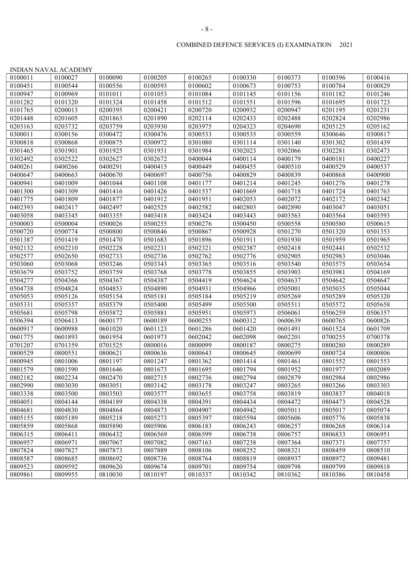|         | <b>INDIAN NAVAL ACADEMY</b> |         |         |         |         |         |         |         |
|---------|-----------------------------|---------|---------|---------|---------|---------|---------|---------|
| 0100011 | 0100027                     | 0100090 | 0100205 | 0100265 | 0100330 | 0100373 | 0100396 | 0100416 |
| 0100451 | 0100544                     | 0100556 | 0100593 | 0100602 | 0100673 | 0100753 | 0100784 | 0100829 |
| 0100947 | 0100969                     | 0101011 | 0101053 | 0101084 | 0101145 | 0101156 | 0101182 | 0101246 |
| 0101282 | 0101320                     | 0101324 | 0101458 | 0101512 | 0101551 | 0101596 | 0101695 | 0101723 |
| 0101765 | 0200013                     | 0200395 | 0200421 | 0200720 | 0200932 | 0200947 | 0201195 | 0201231 |
| 0201448 | 0201605                     | 0201863 | 0201890 | 0202114 | 0202433 | 0202488 | 0202824 | 0202986 |
| 0203163 | 0203732                     | 0203759 | 0203930 | 0203975 | 0204323 | 0204690 | 0205125 | 0205162 |
| 0300011 | 0300156                     | 0300472 | 0300476 | 0300533 | 0300535 | 0300559 | 0300646 | 0300817 |
| 0300818 | 0300868                     | 0300875 | 0300972 | 0301080 | 0301114 | 0301140 | 0301302 | 0301439 |
| 0301465 | 0301901                     | 0301925 | 0301931 | 0301984 | 0302023 | 0302066 | 0302281 | 0302473 |
| 0302492 | 0302522                     | 0302627 | 0302672 | 0400044 | 0400114 | 0400179 | 0400181 | 0400227 |
| 0400261 | 0400266                     | 0400291 | 0400415 | 0400449 | 0400455 | 0400510 | 0400529 | 0400537 |
| 0400647 | 0400663                     | 0400670 | 0400697 | 0400756 | 0400829 | 0400839 | 0400868 | 0400900 |
| 0400941 | 0401009                     | 0401044 | 0401108 | 0401177 | 0401214 | 0401245 | 0401276 | 0401278 |
| 0401300 | 0401309                     | 0401416 | 0401426 | 0401537 | 0401669 | 0401718 | 0401724 | 0401763 |
| 0401775 | 0401809                     | 0401877 | 0401912 | 0401951 | 0402053 | 0402072 | 0402172 | 0402342 |
| 0402393 | 0402417                     | 0402497 | 0402525 | 0402582 | 0402803 | 0402890 | 0403047 | 0403051 |
| 0403058 | 0403345                     | 0403355 | 0403418 | 0403424 | 0403443 | 0403563 | 0403564 | 0403593 |
| 0500003 | 0500004                     | 0500026 | 0500255 | 0500276 | 0500450 | 0500558 | 0500580 | 0500615 |
| 0500720 | 0500774                     | 0500800 | 0500846 | 0500867 | 0500928 | 0501270 | 0501320 | 0501353 |
| 0501387 | 0501419                     | 0501470 | 0501683 | 0501896 | 0501911 | 0501930 | 0501959 | 0501965 |
| 0502132 | 0502210                     | 0502228 | 0502231 | 0502321 | 0502387 | 0502418 | 0502441 | 0502532 |
| 0502577 | 0502650                     | 0502733 | 0502736 | 0502762 | 0502776 | 0502905 | 0502983 | 0503046 |
| 0503060 | 0503068                     | 0503246 | 0503343 | 0503365 | 0503516 | 0503540 | 0503575 | 0503654 |
| 0503679 | 0503752                     | 0503759 | 0503768 | 0503778 | 0503855 | 0503903 | 0503981 | 0504169 |
| 0504277 | 0504366                     | 0504367 | 0504387 | 0504419 | 0504624 | 0504637 | 0504642 | 0504647 |
| 0504738 | 0504824                     | 0504853 | 0504890 | 0504931 | 0504966 | 0505001 | 0505035 | 0505044 |
| 0505053 | 0505126                     | 0505154 | 0505181 | 0505184 | 0505219 | 0505269 | 0505289 | 0505320 |
| 0505331 | 0505357                     | 0505379 | 0505400 | 0505499 | 0505500 | 0505511 | 0505572 | 0505658 |
| 0505681 | 0505798                     | 0505872 | 0505881 | 0505951 | 0505973 | 0506061 | 0506259 | 0506357 |
| 0506394 | 0506413                     | 0600177 | 0600189 | 0600255 | 0600312 | 0600639 | 0600765 | 0600826 |
| 0600917 | 0600988                     | 0601020 | 0601123 | 0601286 | 0601420 | 0601491 | 0601524 | 0601709 |
| 0601775 | 0601893                     | 0601954 | 0601973 | 0602042 | 0602098 | 0602201 | 0700255 | 0700378 |
| 0701207 | 0701359                     | 0701525 | 0800016 | 0800099 | 0800187 | 0800275 | 0800280 | 0800289 |
| 0800529 | 0800551                     | 0800621 | 0800636 | 0800643 | 0800645 | 0800699 | 0800724 | 0800806 |
| 0800945 | 0801006                     | 0801197 | 0801247 | 0801362 | 0801414 | 0801461 | 0801552 | 0801553 |
| 0801579 | 0801590                     | 0801646 | 0801673 | 0801695 | 0801794 | 0801952 | 0801977 | 0802089 |
| 0802182 | 0802234                     | 0802470 | 0802715 | 0802736 | 0802794 | 0802879 | 0802984 | 0802986 |
| 0802990 | 0803030                     | 0803051 | 0803142 | 0803178 | 0803247 | 0803265 | 0803266 | 0803303 |
| 0803338 | 0803500                     | 0803503 | 0803577 | 0803655 | 0803758 | 0803819 | 0803837 | 0804018 |
| 0804051 | 0804144                     | 0804189 | 0804338 | 0804391 | 0804434 | 0804472 | 0804473 | 0804528 |
| 0804681 | 0804830                     | 0804864 | 0804873 | 0804907 | 0804942 | 0805011 | 0805017 | 0805074 |
| 0805155 | 0805189                     | 0805218 | 0805273 | 0805397 | 0805594 | 0805606 | 0805776 | 0805838 |
| 0805859 | 0805868                     | 0805890 | 0805906 | 0806183 | 0806243 | 0806257 | 0806268 | 0806314 |
| 0806315 | 0806411                     | 0806432 | 0806569 | 0806599 | 0806738 | 0806757 | 0806833 | 0806951 |
| 0806957 | 0806971                     | 0807067 | 0807082 | 0807163 | 0807238 | 0807364 | 0807371 | 0807757 |
| 0807824 | 0807827                     | 0807873 | 0807889 | 0808106 | 0808252 | 0808321 | 0808459 | 0808510 |
| 0808587 | 0808685                     | 0808692 | 0808736 | 0808764 | 0808819 | 0808937 | 0808972 | 0809481 |
| 0809523 | 0809592                     | 0809620 | 0809674 | 0809701 | 0809754 | 0809798 | 0809799 | 0809818 |
| 0809861 | 0809955                     | 0810030 | 0810197 | 0810337 | 0810342 | 0810362 | 0810386 | 0810458 |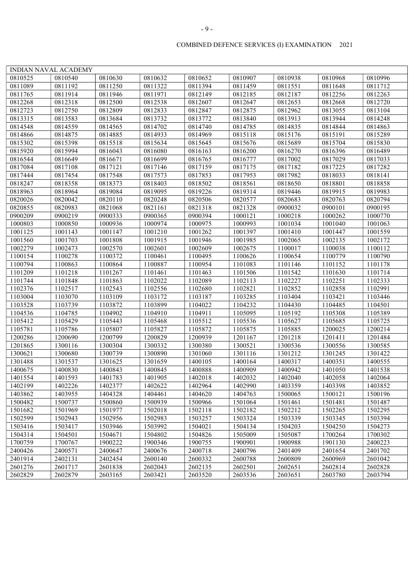| I<br>۰,<br>٠ |
|--------------|
|--------------|

|         | <b>INDIAN NAVAL ACADEMY</b> |         |         |         |         |         |         |         |
|---------|-----------------------------|---------|---------|---------|---------|---------|---------|---------|
| 0810525 | 0810540                     | 0810630 | 0810632 | 0810652 | 0810907 | 0810938 | 0810968 | 0810996 |
| 0811089 | 0811192                     | 0811250 | 0811322 | 0811394 | 0811459 | 0811551 | 0811648 | 0811712 |
| 0811765 | 0811914                     | 0811946 | 0811971 | 0812149 | 0812185 | 0812187 | 0812256 | 0812263 |
| 0812268 | 0812318                     | 0812500 | 0812538 | 0812607 | 0812647 | 0812653 | 0812668 | 0812720 |
| 0812723 | 0812750                     | 0812809 | 0812833 | 0812847 | 0812875 | 0812962 | 0813055 | 0813104 |
| 0813315 | 0813583                     | 0813684 | 0813732 | 0813772 | 0813840 | 0813913 | 0813944 | 0814248 |
| 0814548 | 0814559                     | 0814565 | 0814702 | 0814740 | 0814785 | 0814835 | 0814844 | 0814863 |
| 0814866 | 0814875                     | 0814885 | 0814933 | 0814969 | 0815118 | 0815176 | 0815191 | 0815289 |
| 0815302 | 0815398                     | 0815518 | 0815634 | 0815645 | 0815676 | 0815689 | 0815704 | 0815830 |
| 0815920 | 0815994                     | 0816043 | 0816080 | 0816163 | 0816200 | 0816270 | 0816396 | 0816489 |
| 0816544 | 0816649                     | 0816671 | 0816699 | 0816765 | 0816777 | 0817002 | 0817029 | 0817033 |
| 0817084 | 0817108                     | 0817121 | 0817146 | 0817159 | 0817175 | 0817182 | 0817225 | 0817282 |
| 0817444 | 0817454                     | 0817548 | 0817573 | 0817853 | 0817953 | 0817982 | 0818033 | 0818141 |
| 0818247 | 0818358                     | 0818373 | 0818403 | 0818502 | 0818561 | 0818650 | 0818801 | 0818858 |
| 0818963 | 0818964                     | 0819084 | 0819095 | 0819226 | 0819314 | 0819446 | 0819915 | 0819983 |
| 0820026 | 0820042                     | 0820110 | 0820248 | 0820506 | 0820577 | 0820683 | 0820763 | 0820794 |
| 0820855 | 0820983                     | 0821068 | 0821161 | 0821318 | 0821328 | 0900032 | 0900101 | 0900195 |
| 0900209 | 0900219                     | 0900333 | 0900365 | 0900394 | 1000121 | 1000218 | 1000262 | 1000770 |
| 1000803 | 1000850                     | 1000936 | 1000974 | 1000975 | 1000993 | 1001034 | 1001040 | 1001063 |
| 1001125 | 1001143                     | 1001147 | 1001210 | 1001262 | 1001397 | 1001410 | 1001447 | 1001559 |
| 1001560 | 1001703                     | 1001808 | 1001915 | 1001946 | 1001985 | 1002065 | 1002135 | 1002172 |
| 1002279 | 1002473                     | 1002570 | 1002601 | 1002609 | 1002675 | 1100017 | 1100038 | 1100112 |
| 1100154 | 1100278                     | 1100372 | 1100461 | 1100495 | 1100626 | 1100654 | 1100779 | 1100790 |
| 1100794 | 1100863                     | 1100864 | 1100887 | 1100954 | 1101083 | 1101146 | 1101152 | 1101178 |
| 1101209 | 1101218                     | 1101267 | 1101461 | 1101463 | 1101506 | 1101542 | 1101630 | 1101714 |
| 1101744 | 1101848                     | 1101863 | 1102022 | 1102089 | 1102113 | 1102227 | 1102251 | 1102333 |
| 1102376 | 1102517                     | 1102543 | 1102556 | 1102680 | 1102821 | 1102852 | 1102858 | 1102991 |
| 1103004 | 1103070                     | 1103109 | 1103172 | 1103187 | 1103285 | 1103404 | 1103421 | 1103446 |
| 1103528 | 1103739                     | 1103872 | 1103899 | 1104022 | 1104232 | 1104430 | 1104485 | 1104501 |
| 1104536 | 1104785                     | 1104902 | 1104910 | 1104911 | 1105095 | 1105192 | 1105308 | 1105389 |
| 1105412 | 1105429                     | 1105443 | 1105468 | 1105512 | 1105536 | 1105627 | 1105685 | 1105725 |
| 1105781 | 1105786                     | 1105807 | 1105827 | 1105872 | 1105875 | 1105885 | 1200025 | 1200214 |
| 1200286 | 1200690                     | 1200799 | 1200829 | 1200939 | 1201167 | 1201218 | 1201411 | 1201484 |
| 1201865 | 1300116                     | 1300304 | 1300332 | 1300380 | 1300521 | 1300536 | 1300556 | 1300585 |
| 1300621 | 1300680                     | 1300739 | 1300890 | 1301060 | 1301116 | 1301212 | 1301245 | 1301422 |
| 1301488 | 1301537                     | 1301625 | 1301659 | 1400105 | 1400164 | 1400317 | 1400351 | 1400555 |
| 1400675 | 1400830                     | 1400843 | 1400845 | 1400888 | 1400909 | 1400942 | 1401050 | 1401538 |
| 1401554 | 1401593                     | 1401783 | 1401905 | 1402018 | 1402032 | 1402040 | 1402058 | 1402064 |
| 1402199 | 1402226                     | 1402377 | 1402622 | 1402964 | 1402990 | 1403359 | 1403398 | 1403852 |
| 1403862 | 1403955                     | 1404328 | 1404461 | 1404620 | 1404763 | 1500065 | 1500121 | 1500196 |
| 1500482 | 1500737                     | 1500860 | 1500939 | 1500966 | 1501064 | 1501461 | 1501481 | 1501487 |
| 1501682 | 1501969                     | 1501977 | 1502018 | 1502118 | 1502182 | 1502212 | 1502265 | 1502295 |
| 1502599 | 1502943                     | 1502956 | 1502983 | 1503257 | 1503324 | 1503339 | 1503345 | 1503394 |
| 1503416 | 1503417                     | 1503946 | 1503992 | 1504021 | 1504134 | 1504203 | 1504250 | 1504273 |
| 1504314 | 1504501                     | 1504671 | 1504802 | 1504826 | 1505009 | 1505087 | 1700264 | 1700302 |
| 1700759 | 1700767                     | 1900222 | 1900346 | 1900755 | 1900901 | 1900988 | 1901130 | 2400223 |
| 2400426 | 2400571                     | 2400647 | 2400676 | 2400718 | 2400796 | 2401409 | 2401654 | 2401702 |
| 2401914 | 2402131                     | 2402454 | 2600140 | 2600332 | 2600788 | 2600809 | 2600969 | 2601042 |
| 2601276 | 2601717                     | 2601838 | 2602043 | 2602135 | 2602501 | 2602651 | 2602814 | 2602828 |
| 2602829 | 2602879                     | 2603165 | 2603421 | 2603520 | 2603536 | 2603651 | 2603780 | 2603794 |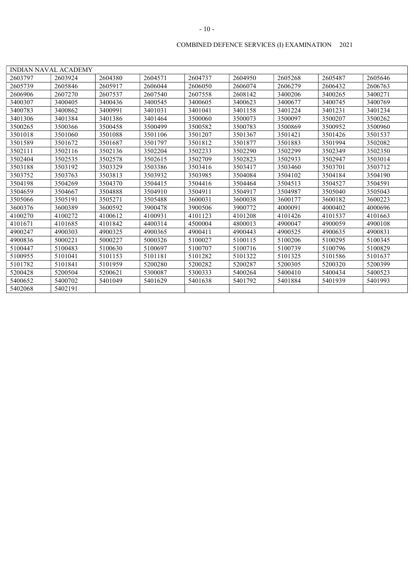|         | <b>INDIAN NAVAL ACADEMY</b> |         |         |         |         |         |         |         |
|---------|-----------------------------|---------|---------|---------|---------|---------|---------|---------|
| 2603797 | 2603924                     | 2604380 | 2604571 | 2604737 | 2604950 | 2605268 | 2605487 | 2605646 |
| 2605739 | 2605846                     | 2605917 | 2606044 | 2606050 | 2606074 | 2606279 | 2606432 | 2606763 |
| 2606906 | 2607270                     | 2607537 | 2607540 | 2607558 | 2608142 | 3400206 | 3400265 | 3400271 |
| 3400307 | 3400405                     | 3400436 | 3400545 | 3400605 | 3400623 | 3400677 | 3400745 | 3400769 |
| 3400783 | 3400862                     | 3400991 | 3401031 | 3401041 | 3401158 | 3401224 | 3401231 | 3401234 |
| 3401306 | 3401384                     | 3401386 | 3401464 | 3500060 | 3500073 | 3500097 | 3500207 | 3500262 |
| 3500265 | 3500366                     | 3500458 | 3500499 | 3500582 | 3500783 | 3500869 | 3500952 | 3500960 |
| 3501018 | 3501060                     | 3501088 | 3501106 | 3501207 | 3501367 | 3501421 | 3501426 | 3501537 |
| 3501589 | 3501672                     | 3501687 | 3501797 | 3501812 | 3501877 | 3501883 | 3501994 | 3502082 |
| 3502111 | 3502116                     | 3502136 | 3502204 | 3502233 | 3502290 | 3502299 | 3502349 | 3502350 |
| 3502404 | 3502535                     | 3502578 | 3502615 | 3502709 | 3502823 | 3502933 | 3502947 | 3503014 |
| 3503188 | 3503192                     | 3503329 | 3503386 | 3503416 | 3503417 | 3503460 | 3503701 | 3503712 |
| 3503752 | 3503763                     | 3503813 | 3503932 | 3503985 | 3504084 | 3504102 | 3504184 | 3504190 |
| 3504198 | 3504269                     | 3504370 | 3504415 | 3504416 | 3504464 | 3504513 | 3504527 | 3504591 |
| 3504659 | 3504667                     | 3504888 | 3504910 | 3504911 | 3504917 | 3504987 | 3505040 | 3505043 |
| 3505066 | 3505191                     | 3505271 | 3505488 | 3600031 | 3600038 | 3600177 | 3600182 | 3600223 |
| 3600376 | 3600389                     | 3600592 | 3900478 | 3900506 | 3900772 | 4000091 | 4000402 | 4000696 |
| 4100270 | 4100272                     | 4100612 | 4100931 | 4101123 | 4101208 | 4101426 | 4101537 | 4101663 |
| 4101671 | 4101685                     | 4101842 | 4400314 | 4500004 | 4800013 | 4900047 | 4900059 | 4900108 |
| 4900247 | 4900303                     | 4900325 | 4900365 | 4900411 | 4900443 | 4900525 | 4900635 | 4900831 |
| 4900836 | 5000221                     | 5000227 | 5000326 | 5100027 | 5100115 | 5100206 | 5100295 | 5100345 |
| 5100447 | 5100483                     | 5100630 | 5100697 | 5100707 | 5100716 | 5100739 | 5100796 | 5100829 |
| 5100955 | 5101041                     | 5101153 | 5101181 | 5101282 | 5101322 | 5101325 | 5101586 | 5101637 |
| 5101782 | 5101841                     | 5101959 | 5200280 | 5200282 | 5200287 | 5200305 | 5200320 | 5200399 |
| 5200428 | 5200504                     | 5200621 | 5300087 | 5300333 | 5400264 | 5400410 | 5400434 | 5400523 |
| 5400652 | 5400702                     | 5401049 | 5401629 | 5401638 | 5401792 | 5401884 | 5401939 | 5401993 |
| 5402068 | 5402191                     |         |         |         |         |         |         |         |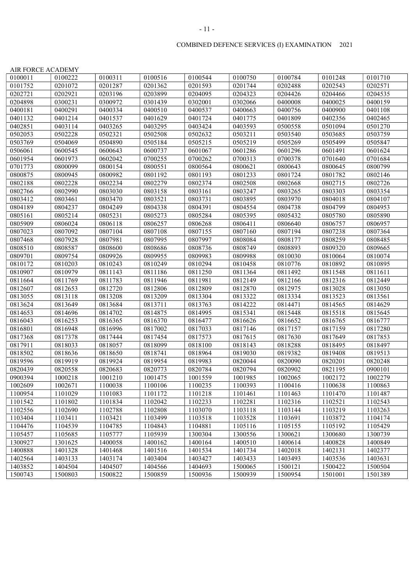|         | AIR FORCE ACADEMY |         |         |                     |         |         |         |         |
|---------|-------------------|---------|---------|---------------------|---------|---------|---------|---------|
| 0100011 | 0100222           | 0100311 | 0100516 | 0100544             | 0100750 | 0100784 | 0101248 | 0101710 |
| 0101752 | 0201072           | 0201287 | 0201362 | 0201593             | 0201744 | 0202488 | 0202543 | 0202571 |
| 0202721 | 0202921           | 0203196 | 0203899 | 0204095             | 0204323 | 0204426 | 0204466 | 0204535 |
| 0204898 | 0300231           | 0300972 | 0301439 | 0302001             | 0302066 | 0400008 | 0400025 | 0400159 |
| 0400181 | 0400291           | 0400334 | 0400510 | 0400537             | 0400663 | 0400756 | 0400900 | 0401108 |
| 0401132 | 0401214           | 0401537 | 0401629 | 0401724             | 0401775 | 0401809 | 0402356 | 0402465 |
| 0402851 | 0403114           | 0403265 | 0403295 | 0403424             | 0403593 | 0500558 | 0501094 | 0501270 |
| 0502053 | 0502228           | 0502321 | 0502508 | 0502632             | 0503211 | 0503540 | 0503685 | 0503759 |
| 0503769 | 0504069           | 0504890 | 0505184 | 0505215             | 0505219 | 0505269 | 0505499 | 0505847 |
| 0506061 | 0600545           | 0600643 | 0600737 | 0601067             | 0601286 | 0601296 | 0601491 | 0601624 |
| 0601954 | 0601973           | 0602042 | 0700255 | $\frac{1}{0}700262$ | 0700313 | 0700378 | 0701640 | 0701684 |
| 0701773 | 0800099           | 0800154 | 0800551 | 0800564             | 0800621 | 0800643 | 0800645 | 0800799 |
| 0800875 | 0800945           | 0800982 | 0801192 | 0801193             | 0801233 | 0801724 | 0801782 | 0802146 |
| 0802188 | 0802228           | 0802234 | 0802279 | 0802374             | 0802508 | 0802668 | 0802715 | 0802726 |
| 0802766 | 0802990           | 0803030 | 0803158 | 0803161             | 0803247 | 0803265 | 0803303 | 0803354 |
| 0803412 | 0803461           | 0803470 | 0803521 | 0803731             | 0803895 | 0803970 | 0804018 | 0804107 |
| 0804189 | 0804237           | 0804249 | 0804338 | 0804391             | 0804554 | 0804738 | 0804799 | 0804953 |
| 0805161 | 0805214           | 0805231 | 0805273 | 0805284             | 0805395 | 0805432 | 0805780 | 0805890 |
| 0805909 | 0806024           | 0806118 | 0806257 | 0806268             | 0806411 | 0806640 | 0806757 | 0806957 |
| 0807023 | 0807092           | 0807104 | 0807108 | 0807155             | 0807160 | 0807194 | 0807238 | 0807364 |
| 0807468 | 0807928           | 0807981 | 0807995 | 0807997             | 0808084 | 0808177 | 0808259 | 0808485 |
| 0808510 | 0808587           | 0808600 | 0808686 | 0808736             | 0808749 | 0808893 | 0809320 | 0809665 |
| 0809701 | 0809754           | 0809926 | 0809955 | 0809983             | 0809988 | 0810030 | 0810064 | 0810074 |
| 0810172 | 0810203           | 0810243 | 0810249 | 0810294             | 0810458 | 0810776 | 0810892 | 0810895 |
| 0810907 | 0810979           | 0811143 | 0811186 | 0811250             | 0811364 | 0811492 | 0811548 | 0811611 |
| 0811664 | 0811769           | 0811783 | 0811946 | 0811981             | 0812149 | 0812166 | 0812316 | 0812449 |
| 0812607 | 0812653           | 0812720 | 0812806 | 0812809             | 0812870 | 0812975 | 0813028 | 0813050 |
| 0813055 | 0813118           | 0813208 | 0813209 | 0813304             | 0813322 | 0813334 | 0813523 | 0813561 |
| 0813624 | 0813649           | 0813684 | 0813711 | 0813763             | 0814222 | 0814471 | 0814565 | 0814629 |
| 0814653 | 0814696           | 0814702 | 0814875 | 0814995             | 0815341 | 0815448 | 0815518 | 0815645 |
| 0816043 | 0816253           | 0816365 | 0816370 | 0816477             | 0816626 | 0816652 | 0816765 | 0816777 |
| 0816801 | 0816948           | 0816996 | 0817002 | 0817033             | 0817146 | 0817157 | 0817159 | 0817280 |
| 0817368 | 0817378           | 0817444 | 0817454 | 0817573             | 0817615 | 0817630 | 0817649 | 0817853 |
| 0817911 | 0818033           | 0818057 | 0818099 | 0818100             | 0818143 | 0818288 | 0818495 | 0818497 |
| 0818502 | 0818636           | 0818650 | 0818741 | 0818964             | 0819030 | 0819382 | 0819408 | 0819513 |
| 0819596 | 0819919           | 0819924 | 0819954 | 0819983             | 0820044 | 0820090 | 0820201 | 0820248 |
| 0820439 | 0820558           | 0820683 | 0820773 | 0820784             | 0820794 | 0820902 | 0821195 | 0900101 |
| 0900394 | 1000218           | 1001210 | 1001475 | 1001559             | 1001985 | 1002065 | 1002172 | 1002279 |
| 1002609 | 1002671           | 1100038 | 1100106 | 1100235             | 1100393 | 1100416 | 1100638 | 1100863 |
| 1100954 | 1101029           | 1101083 | 1101172 | 1101218             | 1101461 | 1101463 | 1101470 | 1101487 |
| 1101542 | 1101802           | 1101834 | 1102042 | 1102233             | 1102281 | 1102316 | 1102521 | 1102543 |
| 1102556 | 1102690           | 1102788 | 1102808 | 1103070             | 1103118 | 1103144 | 1103219 | 1103263 |
| 1103404 | 1103411           | 1103421 | 1103499 | 1103518             | 1103528 | 1103691 | 1103872 | 1104174 |
| 1104476 | 1104539           | 1104785 | 1104843 | 1104881             | 1105116 | 1105155 | 1105192 | 1105429 |
| 1105457 | 1105685           | 1105777 | 1105939 | 1300304             | 1300556 | 1300621 | 1300680 | 1300739 |
| 1300927 | 1301625           | 1400058 | 1400162 | 1400164             | 1400510 | 1400614 | 1400828 | 1400849 |

1400888 1401328 1401468 1401516 1401534 1401734 1402018 1402131 1402377 1402564 | 1403133 | 1403174 | 1403404 | 1403427 | 1403433 | 1403493 | 1403536 | 1403631 1403852 1404504 1404507 1404566 1404693 1500065 1500121 1500422 1500504 1500743 1500803 1500822 1500859 1500936 1500939 1500954 1501001 1501389

#### COMBINED DEFENCE SERVICES (I) EXAMINATION 2021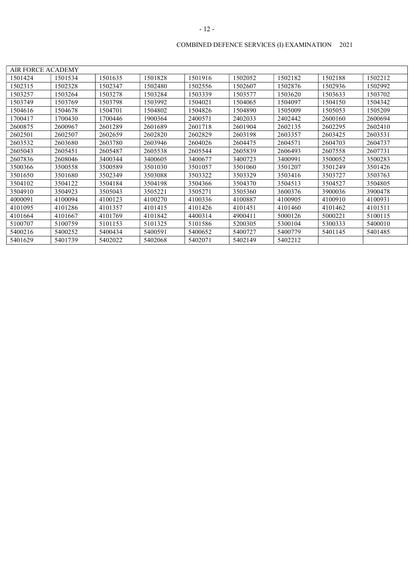| <b>AIR FORCE ACADEMY</b> |         |         |         |         |         |         |         |         |
|--------------------------|---------|---------|---------|---------|---------|---------|---------|---------|
| 1501424                  | 1501534 | 1501635 | 1501828 | 1501916 | 1502052 | 1502182 | 1502188 | 1502212 |
| 1502315                  | 1502328 | 1502347 | 1502480 | 1502556 | 1502607 | 1502876 | 1502936 | 1502992 |
| 503257                   | 1503264 | 1503278 | 1503284 | 1503339 | 1503577 | 1503620 | 1503633 | 1503702 |
| 1503749                  | 1503769 | 1503798 | 1503992 | 1504021 | 1504065 | 1504097 | 1504150 | 1504342 |
| 1504616                  | 1504678 | 1504701 | 1504802 | 1504826 | 1504890 | 1505009 | 1505053 | 1505209 |
| 1700417                  | 1700430 | 1700446 | 1900364 | 2400571 | 2402033 | 2402442 | 2600160 | 2600694 |
| 2600875                  | 2600967 | 2601289 | 2601689 | 2601718 | 2601904 | 2602135 | 2602295 | 2602410 |
| 2602501                  | 2602507 | 2602659 | 2602820 | 2602829 | 2603198 | 2603357 | 2603425 | 2603531 |
| 2603532                  | 2603680 | 2603780 | 2603946 | 2604026 | 2604475 | 2604571 | 2604703 | 2604737 |
| 2605043                  | 2605451 | 2605487 | 2605538 | 2605544 | 2605839 | 2606493 | 2607558 | 2607731 |
| 2607836                  | 2608046 | 3400344 | 3400605 | 3400677 | 3400723 | 3400991 | 3500052 | 3500283 |
| 3500366                  | 3500558 | 3500589 | 3501030 | 3501057 | 3501060 | 3501207 | 3501249 | 3501426 |
| 3501650                  | 3501680 | 3502349 | 3503088 | 3503322 | 3503329 | 3503416 | 3503727 | 3503763 |
| 3504102                  | 3504122 | 3504184 | 3504198 | 3504366 | 3504370 | 3504513 | 3504527 | 3504805 |
| 3504910                  | 3504923 | 3505043 | 3505221 | 3505271 | 3505360 | 3600376 | 3900036 | 3900478 |
| 4000091                  | 4100094 | 4100123 | 4100270 | 4100336 | 4100887 | 4100905 | 4100910 | 4100931 |
| 4101095                  | 4101286 | 4101357 | 4101415 | 4101426 | 4101451 | 4101460 | 4101462 | 4101511 |
| 4101664                  | 4101667 | 4101769 | 4101842 | 4400314 | 4900411 | 5000126 | 5000221 | 5100115 |
| 5100707                  | 5100759 | 5101153 | 5101325 | 5101586 | 5200305 | 5300104 | 5300333 | 5400010 |
| 5400216                  | 5400252 | 5400434 | 5400591 | 5400652 | 5400727 | 5400779 | 5401145 | 5401485 |
| 5401629                  | 5401739 | 5402022 | 5402068 | 5402071 | 5402149 | 5402212 |         |         |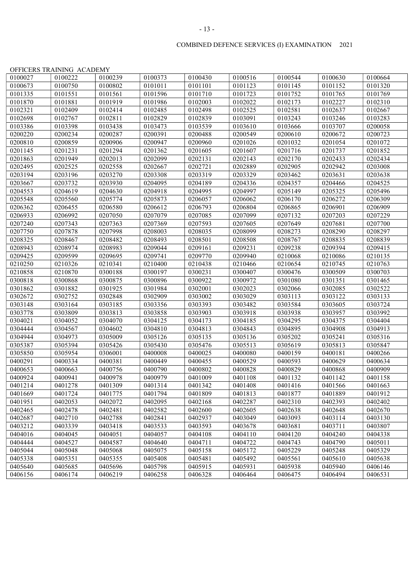# 0100027 | 0100222 | 0100239 | 0100373 | 0100430 | 0100516 | 0100544 | 0100630 | 0100664 0100673 | 0100750 | 0100802 | 0101011 | 0101101 | 0101123 | 0101145 | 0101152 | 0101320 0101335 | 0101551 | 0101561 | 0101596 | 0101710 | 0101723 | 0101752 | 0101765 | 0101769 0101870 | 0101881 | 0101919 | 0101986 | 0102003 | 0102022 | 0102173 | 0102227 | 0102310 0102321 0102409 0102414 0102485 0102498 0102525 0102581 0102637 0102667 0102698 0102767 0102811 0102829 0102839 0103091 0103243 0103246 0103283  $\begin{array}{c|c|c|c|c} 0103386 & 0103398 & 0103438 & 0103473 & 0103539 & 0103610 & 0103666 & 0103707 & 0200058 \end{array}$

OFFICERS TRAINING ACADEMY

#### COMBINED DEFENCE SERVICES (I) EXAMINATION 2021

0200220 0200234 0200287 0200391 0200488 0200549 0200610 0200672 0200723 0200810 | 0200859 | 0200906 | 0200947 | 0200960 | 0201026 | 0201032 | 0201054 | 0201072 0201145 | 0201231 | 0201294 | 0201362 | 0201605 | 0201607 | 0201716 | 0201737 | 0201852 0201863 0201949 0202013 0202099 0202131 0202143 0202170 0202433 0202434 0202495 0202525 0202558 0202667 0202721 0202889 0202905 0202942 0203008 0203194 | 0203196 | 0203270 | 0203308 | 0203319 | 0203329 | 0203462 | 0203631 | 0203638 0203667 0203732 0203930 0204095 0204189 0204336 0204357 0204466 0204525 0204553 0204619 0204630 0204918 0204995 0204997 0205149 0205325 0205496 0205548 0205560 0205774 0205873 0206057 0206062 0206170 0206272 0206309 0206362 0206455 0206580 0206612 0206793 0206804 0206865 0206901 0206909 0206933 0206992 0207050 0207079 0207085 0207099 0207132 0207203 0207229 0207240 0207343 0207363 0207369 0207593 0207605 0207649 0207681 0207700 0207750 0207878 0207998 0208003 0208035 0208099 0208273 0208290 0208297 0208325 0208467 0208482 0208493 0208501 0208508 0208767 0208835 0208839 0208943 0208974 0208983 0209044 0209161 0209231 0209238 0209394 0209415 0209425 | 0209599 | 0209695 | 0209741 | 0209770 | 0209940 | 0210068 | 0210086 | 0210135 0210250 0210326 0210341 0210400 0210438 0210466 0210654 0210745 0210763 0210858 | 0210870 | 0300188 | 0300197 | 0300231 | 0300407 | 0300476 | 0300509 | 0300703 0300818 | 0300868 | 0300875 | 0300896 | 0300922 | 0300972 | 0301080 | 0301351 | 0301465 0301862 | 0301882 | 0301925 | 0301984 | 0302001 | 0302023 | 0302066 | 0302085 | 0302522 0302672 0302752 0302848 0302909 0303002 0303029 0303113 0303122 0303133 0303148 | 0303164 | 0303185 | 0303356 | 0303393 | 0303482 | 0303584 | 0303605 | 0303724 0303778 | 0303809 | 0303813 | 0303858 | 0303903 | 0303918 | 0303938 | 0303957 | 0303992 0304021 | 0304052 | 0304070 | 0304125 | 0304173 | 0304185 | 0304295 | 0304375 | 0304404 0304444 0304567 0304602 0304810 0304813 0304843 0304895 0304908 0304913 0304944 0304973 0305009 0305126 0305135 0305136 0305202 0305241 0305316 0305387 0305394 0305426 0305430 0305476 0305513 0305619 0305813 0305847 0305850 0305954 0306001 0400008 0400025 0400080 0400159 0400181 0400266 0400291 0400334 0400381 0400449 0400455 0400529 0400593 0400629 0400634 0400653 0400663 0400756 0400790 0400802 0400828 0400829 0400868 0400909 0400924 0400941 0400978 0400979 0401009 0401108 0401132 0401142 0401158 0401214 | 0401278 | 0401309 | 0401314 | 0401342 | 0401408 | 0401416 | 0401566 | 0401663 0401669 0401724 0401775 0401794 0401809 0401813 0401877 0401889 0401912 0401951 0402053 0402072 0402095 0402168 0402287 0402310 0402393 0402402 0402465 0402478 0402481 0402582 0402600 0402605 0402638 0402648 0402670 0402687 0402710 0402788 0402841 0402937 0403049 0403093 0403114 0403130 0403212 | 0403339 | 0403418 | 0403533 | 0403593 | 0403678 | 0403681 | 0403711 | 0403807 0404016 | 0404045 | 0404051 | 0404057 | 0404108 | 0404110 | 0404120 | 0404240 | 0404338 0404444 | 0404527 | 0404587 | 0404640 | 0404711 | 0404722 | 0404743 | 0404790 | 0405011 0405044 0405048 0405068 0405075 0405158 0405172 0405229 0405248 0405329 0405338 | 0405351 | 0405355 | 0405408 | 0405481 | 0405492 | 0405561 | 0405610 | 0405638 0405640 0405685 0405696 0405798 0405915 0405931 0405938 0405940 0406146 0406156 | 0406174 | 0406219 | 0406258 | 0406328 | 0406464 | 0406475 | 0406494 | 0406531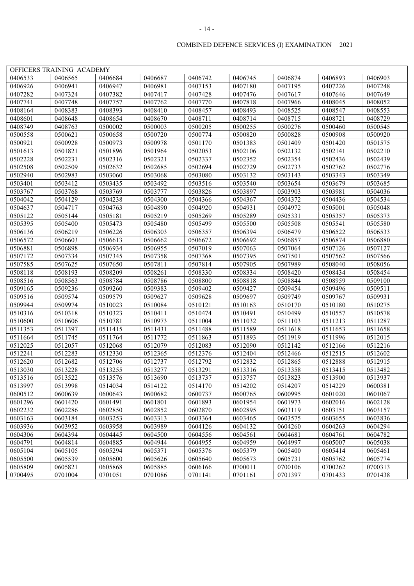|                    | OFFICERS TRAINING ACADEMY |                    |         |                    |         |                    |         |                    |
|--------------------|---------------------------|--------------------|---------|--------------------|---------|--------------------|---------|--------------------|
| 0406533            | 0406565                   | 0406684            | 0406687 | 0406742            | 0406745 | 0406874            | 0406893 | 0406903            |
| 0406926            | 0406941                   | 0406947            | 0406981 | 0407153            | 0407180 | 0407195            | 0407226 | 0407248            |
| 0407282            | 0407324                   | 0407382            | 0407417 | 0407428            | 0407476 | 0407617            | 0407646 | 0407649            |
| 0407741            | 0407748                   | 0407757            | 0407762 | 0407770            | 0407818 | 0407966            | 0408045 | 0408052            |
| 0408164            | 0408383                   | 0408393            | 0408410 | 0408457            | 0408493 | 0408525            | 0408547 | 0408553            |
|                    |                           |                    |         |                    | 0408714 |                    |         |                    |
| 0408601<br>0408749 | 0408648                   | 0408654            | 0408670 | 0408711<br>0500205 | 0500255 | 0408715<br>0500276 | 0408721 | 0408729            |
|                    | 0408763                   | 0500002            | 0500003 |                    | 0500820 | 0500828            | 0500460 | 0500545<br>0500920 |
| 0500558<br>0500921 | 0500621                   | 0500658<br>0500973 | 0500720 | 0500774            |         | 0501409            | 0500908 |                    |
|                    | 0500928                   |                    | 0500978 | 0501170            | 0501383 |                    | 0501420 | 0501575            |
| 0501613            | 0501821                   | 0501896            | 0501964 | 0502053            | 0502106 | 0502132            | 0502141 | 0502210            |
| 0502228            | 0502231                   | 0502316            | 0502321 | 0502337            | 0502352 | 0502354            | 0502436 | 0502439            |
| 0502508            | 0502509                   | 0502632            | 0502685 | 0502694            | 0502729 | 0502733            | 0502762 | 0502776            |
| 0502940            | 0502983                   | 0503060            | 0503068 | 0503080            | 0503132 | 0503143            | 0503343 | 0503349            |
| 0503401            | 0503412                   | 0503435            | 0503492 | 0503516            | 0503540 | 0503654            | 0503679 | 0503685            |
| 0503767            | 0503768                   | 0503769            | 0503777 | 0503826            | 0503897 | 0503903            | 0503981 | 0504036            |
| 0504042            | 0504129                   | 0504238            | 0504300 | 0504366            | 0504367 | 0504372            | 0504436 | 0504534            |
| 0504637            | 0504717                   | 0504763            | 0504890 | 0504920            | 0504931 | 0504972            | 0505001 | 0505048            |
| 0505122            | 0505144                   | 0505181            | 0505219 | 0505269            | 0505289 | 0505331            | 0505357 | 0505373            |
| 0505395            | 0505400                   | 0505473            | 0505480 | 0505499            | 0505500 | 0505508            | 0505541 | 0505580            |
| 0506136            | 0506219                   | 0506226            | 0506303 | 0506357            | 0506394 | 0506479            | 0506522 | 0506533            |
| 0506572            | 0506603                   | 0506613            | 0506662 | 0506672            | 0506692 | 0506857            | 0506874 | 0506880            |
| 0506881            | 0506898                   | 0506934            | 0506955 | 0507019            | 0507063 | 0507064            | 0507126 | 0507127            |
| 0507172            | 0507334                   | 0507345            | 0507358 | 0507368            | 0507395 | 0507501            | 0507562 | 0507566            |
| 0507585            | 0507625                   | 0507650            | 0507811 | 0507814            | 0507905 | 0507989            | 0508040 | 0508056            |
| 0508118            | 0508193                   | 0508209            | 0508261 | 0508330            | 0508334 | 0508420            | 0508434 | 0508454            |
| 0508516            | 0508563                   | 0508784            | 0508786 | 0508800            | 0508818 | 0508844            | 0508959 | 0509100            |
| 0509165            | 0509236                   | 0509260            | 0509383 | 0509402            | 0509427 | 0509454            | 0509496 | 0509511            |
| 0509516            | 0509574                   | 0509579            | 0509627 | 0509628            | 0509697 | 0509749            | 0509767 | 0509931            |
| 0509944            | 0509974                   | 0510023            | 0510084 | 0510121            | 0510163 | 0510170            | 0510180 | 0510275            |
| 0510316            | 0510318                   | 0510323            | 0510411 | 0510474            | 0510491 | 0510499            | 0510557 | 0510578            |
| 0510600            | 0510606                   | 0510781            | 0510973 | 0511004            | 0511032 | 0511103            | 0511213 | 0511287            |
| 0511353            | 0511397                   | 0511415            | 0511431 | 0511488            | 0511589 | 0511618            | 0511653 | 0511658            |
| 0511664            | 0511745                   | 0511764            | 0511772 | 0511863            | 0511893 | 0511919            | 0511996 | 0512015            |
| 0512025            | 0512057                   | 0512068            | 0512079 | 0512083            | 0512090 | 0512142            | 0512166 | 0512216            |
| 0512241            | 0512283                   | 0512330            | 0512365 | 0512376            | 0512404 | 0512466            | 0512515 | 0512602            |
| 0512620            | 0512682                   | 0512706            | 0512737 | 0512792            | 0512832 | 0512865            | 0512888 | 0512915            |
| 0513030            | 0513228                   | 0513255            | 0513277 | 0513291            | 0513316 | 0513358            | 0513415 | 0513482            |
| 0513516            | 0513522                   | 0513576            | 0513690 | 0513737            | 0513757 | 0513823            | 0513900 | 0513937            |
| 0513997            | 0513998                   | 0514034            | 0514122 | 0514170            | 0514202 | 0514207            | 0514229 | 0600381            |
| 0600512            | 0600639                   | 0600643            | 0600682 | 0600737            | 0600765 | 0600995            | 0601020 | 0601067            |
| 0601296            | 0601420                   | 0601491            | 0601801 | 0601893            | 0601954 | 0601973            | 0602016 | 0602128            |
| 0602232            | 0602286                   | 0602850            | 0602852 | 0602870            | 0602895 | 0603119            | 0603151 | 0603157            |
| 0603163            | 0603184                   | 0603253            | 0603313 | 0603364            | 0603465 | 0603575            | 0603655 | 0603836            |
| 0603936            | 0603952                   | 0603958            | 0603989 | 0604126            | 0604132 | 0604260            | 0604263 | 0604294            |
| 0604306            | 0604394                   | 0604445            | 0604500 | 0604556            | 0604561 | 0604681            | 0604761 | 0604782            |
| 0604791            | 0604814                   | 0604885            | 0604944 | 0604955            | 0604959 | 0604997            | 0605007 | 0605038            |
| 0605104            | 0605105                   | 0605294            | 0605371 | 0605376            | 0605379 | 0605400            | 0605414 | 0605461            |
| 0605500            | 0605539                   | 0605600            | 0605626 | 0605640            | 0605673 | 0605731            | 0605762 | 0605774            |
| 0605809            | 0605821                   | 0605868            | 0605885 | 0606166            | 0700011 | 0700106            | 0700262 | 0700313            |
| 0700495            | 0701004                   | 0701051            | 0701086 | 0701141            | 0701161 | 0701397            | 0701433 | 0701438            |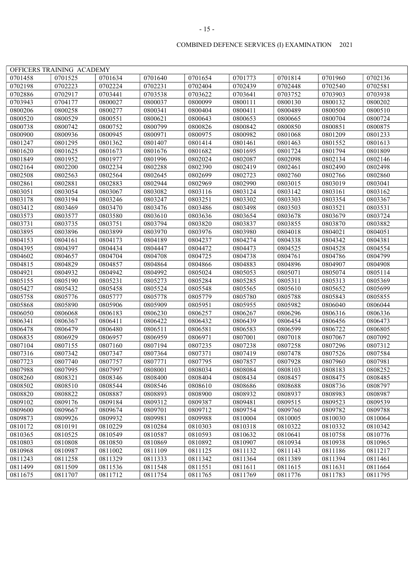|                    | OFFICERS TRAINING ACADEMY |         |                    |         |         |         |                    |         |
|--------------------|---------------------------|---------|--------------------|---------|---------|---------|--------------------|---------|
| 0701458            | 0701525                   | 0701634 | 0701640            | 0701654 | 0701773 | 0701814 | 0701960            | 0702136 |
| 0702198            | 0702223                   | 0702224 | 0702231            | 0702404 | 0702439 | 0702448 | 0702540            | 0702581 |
| 0702886            | 0702917                   | 0703441 | 0703538            | 0703622 | 0703641 | 0703752 | 0703903            | 0703938 |
| 0703943            | 0704177                   | 0800027 | 0800037            | 0800099 | 0800111 | 0800130 | 0800132            | 0800202 |
| 0800206            | 0800258                   | 0800277 | 0800341            | 0800404 | 0800411 | 0800489 | 0800500            | 0800510 |
| 0800520            | 0800529                   | 0800551 | 0800621            | 0800643 | 0800653 | 0800665 | 0800704            | 0800724 |
| 0800738            | 0800742                   | 0800752 | 0800799            | 0800826 | 0800842 | 0800850 | 0800851            | 0800875 |
| 0800900            | 0800936                   | 0800945 | 0800971            | 0800975 | 0800982 | 0801068 | 0801209            | 0801233 |
| 0801247            | 0801295                   | 0801362 | 0801407            | 0801414 | 0801461 | 0801463 | 0801552            | 0801613 |
| 0801620            | 0801625                   | 0801673 | 0801676            | 0801682 | 0801695 | 0801724 | 0801794            | 0801809 |
| 0801849            | 0801952                   | 0801977 | 0801996            | 0802024 | 0802087 | 0802098 | 0802134            | 0802146 |
| 0802164            | 0802200                   | 0802234 | 0802288            | 0802390 | 0802419 | 0802461 | 0802490            | 0802498 |
| 0802508            | 0802563                   | 0802564 | 0802645            | 0802699 | 0802723 | 0802760 | 0802766            | 0802860 |
| 0802861            | 0802881                   | 0802883 | 0802944            | 0802969 | 0802990 | 0803015 | 0803019            | 0803041 |
| 0803051            | 0803054                   | 0803067 | 0803082            | 0803116 | 0803124 | 0803142 | 0803161            | 0803162 |
| 0803178            | 0803194                   | 0803246 | 0803247            | 0803251 | 0803302 | 0803303 | 0803354            | 0803367 |
| 0803412            | 0803469                   | 0803470 | 0803476            | 0803486 | 0803498 | 0803503 | 0803521            | 0803531 |
| 0803573            | 0803577                   | 0803580 | 0803610            | 0803636 | 0803654 | 0803678 | 0803679            | 0803724 |
| 0803731            | 0803735                   | 0803751 | 0803794            | 0803820 | 0803837 | 0803855 | 0803870            | 0803882 |
| 0803895            | 0803896                   | 0803899 | 0803970            | 0803976 | 0803980 | 0804018 | 0804021            | 0804051 |
| 0804153            | 0804161                   | 0804173 | 0804189            | 0804237 | 0804274 | 0804338 | 0804342            | 0804381 |
| 0804395            | 0804397                   | 0804434 | 0804447            | 0804472 | 0804473 | 0804525 | 0804528            | 0804554 |
| 0804602            | 0804657                   | 0804704 | 0804708            | 0804725 | 0804738 | 0804761 | 0804786            | 0804799 |
| 0804815            | 0804829                   | 0804857 | 0804864            | 0804866 | 0804883 | 0804896 | 0804907            | 0804908 |
| 0804921            | 0804932                   | 0804942 | 0804992            | 0805024 | 0805053 | 0805071 | 0805074            | 0805114 |
| 0805155            | 0805190                   | 0805231 | 0805273            | 0805284 | 0805285 | 0805311 | 0805313            | 0805369 |
| 0805427            | 0805432                   | 0805458 | 0805524            | 0805548 | 0805565 | 0805610 | 0805652            | 0805699 |
| 0805758            | 0805776                   | 0805777 | 0805778            | 0805779 | 0805780 | 0805788 | 0805843            | 0805855 |
| 0805868            | 0805890                   | 0805906 | 0805909            | 0805951 | 0805955 | 0805982 | 0806040            | 0806044 |
| 0806050            | 0806068                   | 0806183 | 0806230            | 0806257 | 0806267 | 0806296 | 0806316            | 0806336 |
| 0806341            | 0806367                   | 0806411 | 0806422            | 0806432 | 0806439 | 0806454 | 0806456            | 0806473 |
| 0806478            | 0806479                   | 0806480 | 0806511            | 0806581 | 0806583 | 0806599 | 0806722            | 0806805 |
| 0806835            | 0806929                   | 0806957 | 0806959            | 0806971 | 0807001 | 0807018 | 0807067            | 0807092 |
| 0807104            | 0807155                   | 0807160 | 0807194            | 0807235 | 0807238 | 0807258 | 0807296            | 0807312 |
| 0807316            | 0807342                   | 0807347 | 0807364            | 0807371 | 0807419 | 0807478 | 0807526            | 0807584 |
| 0807723            | 0807740                   | 0807757 | 0807771            | 0807795 | 0807857 | 0807928 | 0807960            | 0807981 |
| 0807988            | 0807995                   | 0807997 | 0808001            | 0808034 | 0808084 | 0808103 | 0808183            | 0808252 |
|                    |                           |         |                    | 0808404 | 0808434 |         |                    |         |
| 0808260<br>0808502 | 0808321                   | 0808346 | 0808400<br>0808546 | 0808610 | 0808686 | 0808457 | 0808475<br>0808736 | 0808485 |
|                    | 0808510                   | 0808544 |                    |         |         | 0808688 |                    | 0808797 |
| 0808820            | 0808822                   | 0808887 | 0808893            | 0808900 | 0808932 | 0808937 | 0808983            | 0808987 |
| 0809102            | 0809176                   | 0809184 | 0809312            | 0809387 | 0809481 | 0809515 | 0809523            | 0809539 |
| 0809600            | 0809667                   | 0809674 | 0809701            | 0809712 | 0809754 | 0809760 | 0809782            | 0809788 |
| 0809873            | 0809926                   | 0809932 | 0809981            | 0809988 | 0810004 | 0810005 | 0810030            | 0810064 |
| 0810172            | 0810191                   | 0810229 | 0810284            | 0810303 | 0810318 | 0810322 | 0810332            | 0810342 |
| 0810365            | 0810525                   | 0810549 | 0810587            | 0810593 | 0810632 | 0810641 | 0810758            | 0810776 |
| 0810803            | 0810808                   | 0810850 | 0810869            | 0810892 | 0810907 | 0810934 | 0810938            | 0810965 |
| 0810968            | 0810987                   | 0811002 | 0811109            | 0811125 | 0811132 | 0811143 | 0811186            | 0811217 |
| 0811243            | 0811258                   | 0811329 | 0811333            | 0811342 | 0811364 | 0811389 | 0811394            | 0811461 |
| 0811499            | 0811509                   | 0811536 | 0811548            | 0811551 | 0811611 | 0811615 | 0811631            | 0811664 |
| 0811675            | 0811707                   | 0811712 | 0811754            | 0811765 | 0811769 | 0811776 | 0811783            | 0811795 |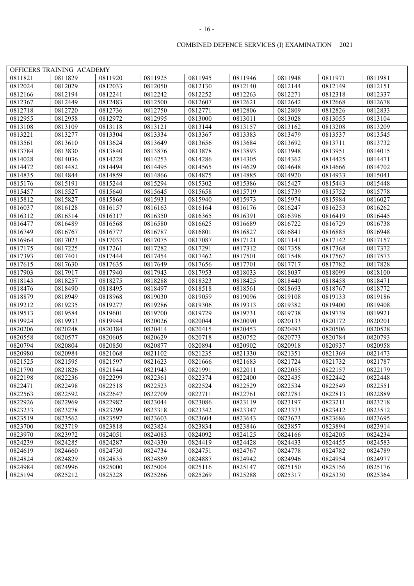|         | OFFICERS TRAINING ACADEMY |         |         |         |         |         |         |         |
|---------|---------------------------|---------|---------|---------|---------|---------|---------|---------|
| 0811821 | 0811829                   | 0811920 | 0811925 | 0811945 | 0811946 | 0811948 | 0811971 | 0811981 |
| 0812024 | 0812029                   | 0812033 | 0812050 | 0812130 | 0812140 | 0812144 | 0812149 | 0812151 |
| 0812166 | 0812194                   | 0812241 | 0812242 | 0812252 | 0812263 | 0812271 | 0812318 | 0812337 |
| 0812367 | 0812449                   | 0812483 | 0812500 | 0812607 | 0812621 | 0812642 | 0812668 | 0812678 |
| 0812718 | 0812720                   | 0812736 | 0812750 | 0812771 | 0812806 | 0812809 | 0812826 | 0812833 |
| 0812955 | 0812958                   | 0812972 | 0812995 | 0813000 | 0813011 | 0813028 | 0813055 | 0813104 |
| 0813108 | 0813109                   | 0813118 | 0813121 | 0813144 | 0813157 | 0813162 | 0813208 | 0813209 |
| 0813221 | 0813277                   | 0813304 | 0813334 | 0813367 | 0813383 | 0813479 | 0813537 | 0813545 |
| 0813561 | 0813610                   | 0813624 | 0813649 | 0813656 | 0813684 | 0813692 | 0813711 | 0813732 |
| 0813784 | 0813830                   | 0813840 | 0813876 | 0813878 | 0813893 | 0813948 | 0813951 | 0814015 |
| 0814028 | 0814036                   | 0814228 | 0814253 | 0814286 | 0814305 | 0814362 | 0814425 | 0814471 |
| 0814472 | 0814482                   | 0814494 | 0814495 | 0814565 | 0814629 | 0814648 | 0814666 | 0814702 |
| 0814835 | 0814844                   | 0814859 | 0814866 | 0814875 | 0814885 | 0814920 | 0814933 | 0815041 |
| 0815176 | 0815191                   | 0815244 | 0815294 | 0815302 | 0815386 | 0815427 | 0815443 | 0815448 |
| 0815457 | 0815527                   | 0815640 | 0815645 | 0815658 | 0815719 | 0815739 | 0815752 | 0815778 |
| 0815812 | 0815827                   | 0815868 | 0815931 | 0815940 | 0815973 | 0815974 | 0815984 | 0816027 |
| 0816037 | 0816128                   | 0816157 | 0816163 | 0816164 | 0816176 | 0816247 | 0816253 | 0816262 |
| 0816312 | 0816314                   | 0816317 | 0816350 | 0816365 | 0816391 | 0816396 | 0816419 | 0816445 |
| 0816477 | 0816489                   | 0816568 | 0816580 | 0816625 | 0816689 | 0816722 | 0816729 | 0816738 |
| 0816749 | 0816767                   | 0816777 | 0816787 | 0816801 | 0816827 | 0816841 | 0816885 | 0816948 |
| 0816964 | 0817023                   | 0817033 | 0817075 | 0817087 | 0817121 | 0817141 | 0817142 | 0817157 |
| 0817175 | 0817225                   | 0817261 | 0817282 | 0817291 | 0817312 | 0817358 | 0817368 | 0817372 |
| 0817393 | 0817401                   | 0817444 | 0817454 | 0817462 | 0817501 | 0817548 | 0817567 | 0817573 |
| 0817615 | 0817630                   | 0817635 | 0817649 | 0817656 | 0817701 | 0817717 | 0817782 | 0817828 |
| 0817903 | 0817917                   | 0817940 | 0817943 | 0817953 | 0818033 | 0818037 | 0818099 | 0818100 |
| 0818143 | 0818257                   | 0818275 | 0818288 | 0818323 | 0818425 | 0818440 | 0818458 | 0818471 |
| 0818476 | 0818490                   | 0818495 | 0818497 | 0818518 | 0818561 | 0818693 | 0818767 | 0818772 |
| 0818879 | 0818949                   | 0818968 | 0819030 | 0819059 | 0819096 | 0819108 | 0819133 | 0819186 |
| 0819212 | 0819235                   | 0819277 | 0819286 | 0819306 | 0819313 | 0819382 | 0819400 | 0819408 |
| 0819513 | 0819584                   | 0819601 | 0819700 | 0819729 | 0819731 | 0819738 | 0819739 | 0819921 |
| 0819924 | 0819933                   | 0819944 | 0820026 | 0820044 | 0820090 | 0820133 | 0820172 | 0820201 |
| 0820206 | 0820248                   | 0820384 | 0820414 | 0820415 | 0820453 | 0820493 | 0820506 | 0820528 |
| 0820558 | 0820577                   | 0820605 | 0820629 | 0820718 | 0820752 | 0820773 | 0820784 | 0820793 |
| 0820794 | 0820804                   | 0820850 | 0820877 | 0820894 | 0820902 | 0820918 | 0820937 | 0820958 |
| 0820980 | 0820984                   | 0821068 | 0821102 | 0821235 | 0821330 | 0821351 | 0821369 | 0821473 |
| 0821525 | 0821595                   | 0821597 | 0821623 | 0821666 | 0821683 | 0821724 | 0821732 | 0821787 |
| 0821790 | 0821826                   | 0821844 | 0821943 | 0821991 | 0822011 | 0822055 | 0822157 | 0822179 |
| 0822198 | 0822236                   | 0822299 | 0822361 | 0822374 | 0822400 | 0822435 | 0822442 | 0822448 |
| 0822471 | 0822498                   | 0822518 | 0822523 | 0822524 | 0822529 | 0822534 | 0822549 | 0822551 |
| 0822563 | 0822592                   | 0822647 | 0822709 | 0822711 | 0822761 | 0822781 | 0822813 | 0822889 |
| 0822926 | 0822969                   | 0822982 | 0823044 | 0823086 | 0823119 | 0823197 | 0823211 | 0823218 |
| 0823233 | 0823278                   | 0823299 | 0823318 | 0823342 | 0823347 | 0823373 | 0823412 | 0823512 |
| 0823519 | 0823562                   | 0823597 | 0823603 | 0823604 | 0823643 | 0823673 | 0823686 | 0823695 |
| 0823700 | 0823719                   | 0823818 | 0823824 | 0823834 | 0823846 | 0823857 | 0823894 | 0823914 |
| 0823970 | 0823972                   | 0824051 | 0824083 | 0824092 | 0824125 | 0824166 | 0824205 | 0824234 |
| 0824239 | 0824285                   | 0824287 | 0824330 | 0824419 | 0824428 | 0824433 | 0824455 | 0824583 |
| 0824619 | 0824660                   | 0824730 | 0824734 | 0824751 | 0824767 | 0824778 | 0824782 | 0824789 |
| 0824824 | 0824829                   | 0824835 | 0824869 | 0824887 | 0824942 | 0824946 | 0824954 | 0824977 |
| 0824984 | 0824996                   | 0825000 | 0825004 | 0825116 | 0825147 | 0825150 | 0825156 | 0825176 |
| 0825194 | 0825212                   | 0825228 | 0825266 | 0825269 | 0825288 | 0825317 | 0825330 | 0825364 |

#### - 16 -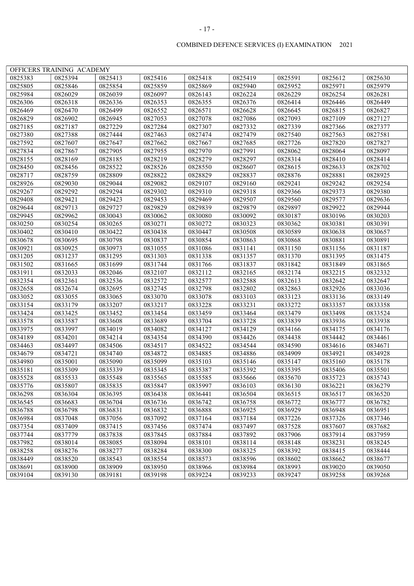| OFFICERS TRAINING ACADEMY<br>0825418<br>0825383<br>0825394<br>0825413<br>0825416<br>0825419<br>0825591<br>0825612<br>0825630<br>0825805<br>0825854<br>0825859<br>0825940<br>0825952<br>0825846<br>0825869<br>0825971<br>0825979<br>0826281<br>0825984<br>0826029<br>0826039<br>0826097<br>0826143<br>0826224<br>0826229<br>0826254<br>0826449<br>0826306<br>0826318<br>0826336<br>0826353<br>0826355<br>0826376<br>0826414<br>0826446<br>0826469<br>0826470<br>0826499<br>0826552<br>0826571<br>0826628<br>0826645<br>0826815<br>0826827<br>0827053<br>0827078<br>0827086<br>0827093<br>0827109<br>0826829<br>0826902<br>0826945<br>0827127<br>0827185<br>0827229<br>0827284<br>0827307<br>0827332<br>0827339<br>0827366<br>0827187<br>0827377<br>0827380<br>0827463<br>0827474<br>0827479<br>0827540<br>0827563<br>0827581<br>0827388<br>0827444<br>0827592<br>0827607<br>0827647<br>0827662<br>0827667<br>0827685<br>0827726<br>0827820<br>0827827<br>0827834<br>0827955<br>0827970<br>0827991<br>0828064<br>0828097<br>0827867<br>0827905<br>0828062<br>0828155<br>0828185<br>0828219<br>0828279<br>0828297<br>0828169<br>0828314<br>0828410<br>0828414<br>0828522<br>0828526<br>0828550<br>0828450<br>0828456<br>0828607<br>0828615<br>0828633<br>0828702<br>0828717<br>0828822<br>0828759<br>0828809<br>0828829<br>0828837<br>0828876<br>0828881<br>0828925<br>0829082<br>0828926<br>0829030<br>0829044<br>0829107<br>0829160<br>0829241<br>0829242<br>0829254<br>0829294<br>0829302<br>0829310<br>0829318<br>0829267<br>0829292<br>0829366<br>0829373<br>0829380<br>0829408<br>0829421<br>0829423<br>0829453<br>0829469<br>0829507<br>0829560<br>0829577<br>0829636<br>0829644<br>0829727<br>0829829<br>0829839<br>0829713<br>0829879<br>0829897<br>0829922<br>0829944<br>0829945<br>0829962<br>0830043<br>0830062<br>0830080<br>0830092<br>0830187<br>0830196<br>0830203<br>0830250<br>0830265<br>0830272<br>0830323<br>0830254<br>0830271<br>0830362<br>0830381<br>0830391<br>0830402<br>0830410<br>0830422<br>0830438<br>0830447<br>0830508<br>0830589<br>0830638<br>0830657<br>0830678<br>0830695<br>0830798<br>0830837<br>0830854<br>0830863<br>0830868<br>0830881<br>0830891<br>0830921<br>0830925<br>0830973<br>0831055<br>0831086<br>0831141<br>0831150<br>0831156<br>0831187<br>0831205<br>0831303<br>0831338<br>0831357<br>0831237<br>0831295<br>0831370<br>0831395<br>0831475<br>0831502<br>0831699<br>0831744<br>0831766<br>0831837<br>0831849<br>0831865<br>0831665<br>0831842<br>0831911<br>0832112<br>0832033<br>0832046<br>0832107<br>0832165<br>0832174<br>0832215<br>0832332<br>0832354<br>0832361<br>0832536<br>0832572<br>0832577<br>0832588<br>0832613<br>0832642<br>0832647<br>0832658<br>0832674<br>0832695<br>0832745<br>0832798<br>0832802<br>0832863<br>0832926<br>0833036<br>0833052<br>0833065<br>0833070<br>0833078<br>0833103<br>0833136<br>0833149<br>0833055<br>0833123<br>0833154<br>0833179<br>0833207<br>0833217<br>0833228<br>0833231<br>0833272<br>0833357<br>0833358<br>0833424<br>0833425<br>0833452<br>0833454<br>0833459<br>0833464<br>0833479<br>0833498<br>0833524<br>0833608<br>0833689<br>0833704<br>0833578<br>0833587<br>0833728<br>0833839<br>0833936<br>0833938<br>0833975<br>0833997<br>0834019<br>0834082<br>0834127<br>0834129<br>0834166<br>0834175<br>0834176<br>0834189<br>0834214<br>0834354<br>0834390<br>0834426<br>0834438<br>0834442<br>0834461<br>0834201<br>0834463<br>0834497<br>0834506<br>0834517<br>0834522<br>0834544<br>0834590<br>0834616<br>0834671<br>0834679<br>0834721<br>0834740<br>0834872<br>0834885<br>0834886<br>0834909<br>0834921<br>0834928<br>0834980<br>0835001<br>0835090<br>0835099<br>0835103<br>0835146<br>0835147<br>0835160<br>0835178<br>0835181<br>0835309<br>0835339<br>0835345<br>0835392<br>0835395<br>0835501<br>0835387<br>0835406<br>0835528<br>0835533<br>0835548<br>0835565<br>0835585<br>0835666<br>0835670<br>0835723<br>0835743<br>0835776<br>0835807<br>0835835<br>0835847<br>0835997<br>0836103<br>0836130<br>0836221<br>0836279<br>0836298<br>0836504<br>0836304<br>0836395<br>0836438<br>0836441<br>0836515<br>0836517<br>0836520<br>0836545<br>0836736<br>0836742<br>0836758<br>0836772<br>0836683<br>0836704<br>0836777<br>0836782<br>0836788<br>0836832<br>0836798<br>0836831<br>0836888<br>0836925<br>0836929<br>0836948<br>0836951<br>0836984<br>0837048<br>0837056<br>0837092<br>0837164<br>0837184<br>0837226<br>0837326<br>0837346<br>0837354<br>0837415<br>0837474<br>0837409<br>0837456<br>0837497<br>0837528<br>0837607<br>0837682<br>0837744<br>0837779<br>0837838<br>0837845<br>0837884<br>0837892<br>0837906<br>0837914<br>0837959<br>0837982<br>0838085<br>0838094<br>0838101<br>0838114<br>0838148<br>0838231<br>0838245<br>0838014<br>0838258<br>0838276<br>0838277<br>0838284<br>0838300<br>0838325<br>0838392<br>0838415<br>0838444<br>0838449<br>0838520<br>0838543<br>0838554<br>0838573<br>0838596<br>0838602<br>0838662<br>0838677<br>0838909<br>0838950<br>0838966<br>0838984<br>0838993<br>0838691<br>0838900<br>0839020<br>0839050<br>0839104<br>0839181<br>0839198<br>0839224<br>0839130<br>0839233<br>0839247<br>0839258<br>0839268 |  |  |  |  |  |
|---------------------------------------------------------------------------------------------------------------------------------------------------------------------------------------------------------------------------------------------------------------------------------------------------------------------------------------------------------------------------------------------------------------------------------------------------------------------------------------------------------------------------------------------------------------------------------------------------------------------------------------------------------------------------------------------------------------------------------------------------------------------------------------------------------------------------------------------------------------------------------------------------------------------------------------------------------------------------------------------------------------------------------------------------------------------------------------------------------------------------------------------------------------------------------------------------------------------------------------------------------------------------------------------------------------------------------------------------------------------------------------------------------------------------------------------------------------------------------------------------------------------------------------------------------------------------------------------------------------------------------------------------------------------------------------------------------------------------------------------------------------------------------------------------------------------------------------------------------------------------------------------------------------------------------------------------------------------------------------------------------------------------------------------------------------------------------------------------------------------------------------------------------------------------------------------------------------------------------------------------------------------------------------------------------------------------------------------------------------------------------------------------------------------------------------------------------------------------------------------------------------------------------------------------------------------------------------------------------------------------------------------------------------------------------------------------------------------------------------------------------------------------------------------------------------------------------------------------------------------------------------------------------------------------------------------------------------------------------------------------------------------------------------------------------------------------------------------------------------------------------------------------------------------------------------------------------------------------------------------------------------------------------------------------------------------------------------------------------------------------------------------------------------------------------------------------------------------------------------------------------------------------------------------------------------------------------------------------------------------------------------------------------------------------------------------------------------------------------------------------------------------------------------------------------------------------------------------------------------------------------------------------------------------------------------------------------------------------------------------------------------------------------------------------------------------------------------------------------------------------------------------------------------------------------------------------------------------------------------------------------------------------------------------------------------------------------------------------------------------------------------------------------------------------------------------------------------------------------------------------------------------------------------------------------------------------------------------------------------------------------------------------------------------------------------------------------------------------------------------------------------------------------------------------------------------------------------------------------------------------------------------------------------------------------------------------------------------------------------------------------------------------------------------------------------------------------------------------------------------------------------------------------------------------------|--|--|--|--|--|
|                                                                                                                                                                                                                                                                                                                                                                                                                                                                                                                                                                                                                                                                                                                                                                                                                                                                                                                                                                                                                                                                                                                                                                                                                                                                                                                                                                                                                                                                                                                                                                                                                                                                                                                                                                                                                                                                                                                                                                                                                                                                                                                                                                                                                                                                                                                                                                                                                                                                                                                                                                                                                                                                                                                                                                                                                                                                                                                                                                                                                                                                                                                                                                                                                                                                                                                                                                                                                                                                                                                                                                                                                                                                                                                                                                                                                                                                                                                                                                                                                                                                                                                                                                                                                                                                                                                                                                                                                                                                                                                                                                                                                                                                                                                                                                                                                                                                                                                                                                                                                                                                                                                                                                                 |  |  |  |  |  |
|                                                                                                                                                                                                                                                                                                                                                                                                                                                                                                                                                                                                                                                                                                                                                                                                                                                                                                                                                                                                                                                                                                                                                                                                                                                                                                                                                                                                                                                                                                                                                                                                                                                                                                                                                                                                                                                                                                                                                                                                                                                                                                                                                                                                                                                                                                                                                                                                                                                                                                                                                                                                                                                                                                                                                                                                                                                                                                                                                                                                                                                                                                                                                                                                                                                                                                                                                                                                                                                                                                                                                                                                                                                                                                                                                                                                                                                                                                                                                                                                                                                                                                                                                                                                                                                                                                                                                                                                                                                                                                                                                                                                                                                                                                                                                                                                                                                                                                                                                                                                                                                                                                                                                                                 |  |  |  |  |  |
|                                                                                                                                                                                                                                                                                                                                                                                                                                                                                                                                                                                                                                                                                                                                                                                                                                                                                                                                                                                                                                                                                                                                                                                                                                                                                                                                                                                                                                                                                                                                                                                                                                                                                                                                                                                                                                                                                                                                                                                                                                                                                                                                                                                                                                                                                                                                                                                                                                                                                                                                                                                                                                                                                                                                                                                                                                                                                                                                                                                                                                                                                                                                                                                                                                                                                                                                                                                                                                                                                                                                                                                                                                                                                                                                                                                                                                                                                                                                                                                                                                                                                                                                                                                                                                                                                                                                                                                                                                                                                                                                                                                                                                                                                                                                                                                                                                                                                                                                                                                                                                                                                                                                                                                 |  |  |  |  |  |
|                                                                                                                                                                                                                                                                                                                                                                                                                                                                                                                                                                                                                                                                                                                                                                                                                                                                                                                                                                                                                                                                                                                                                                                                                                                                                                                                                                                                                                                                                                                                                                                                                                                                                                                                                                                                                                                                                                                                                                                                                                                                                                                                                                                                                                                                                                                                                                                                                                                                                                                                                                                                                                                                                                                                                                                                                                                                                                                                                                                                                                                                                                                                                                                                                                                                                                                                                                                                                                                                                                                                                                                                                                                                                                                                                                                                                                                                                                                                                                                                                                                                                                                                                                                                                                                                                                                                                                                                                                                                                                                                                                                                                                                                                                                                                                                                                                                                                                                                                                                                                                                                                                                                                                                 |  |  |  |  |  |
|                                                                                                                                                                                                                                                                                                                                                                                                                                                                                                                                                                                                                                                                                                                                                                                                                                                                                                                                                                                                                                                                                                                                                                                                                                                                                                                                                                                                                                                                                                                                                                                                                                                                                                                                                                                                                                                                                                                                                                                                                                                                                                                                                                                                                                                                                                                                                                                                                                                                                                                                                                                                                                                                                                                                                                                                                                                                                                                                                                                                                                                                                                                                                                                                                                                                                                                                                                                                                                                                                                                                                                                                                                                                                                                                                                                                                                                                                                                                                                                                                                                                                                                                                                                                                                                                                                                                                                                                                                                                                                                                                                                                                                                                                                                                                                                                                                                                                                                                                                                                                                                                                                                                                                                 |  |  |  |  |  |
|                                                                                                                                                                                                                                                                                                                                                                                                                                                                                                                                                                                                                                                                                                                                                                                                                                                                                                                                                                                                                                                                                                                                                                                                                                                                                                                                                                                                                                                                                                                                                                                                                                                                                                                                                                                                                                                                                                                                                                                                                                                                                                                                                                                                                                                                                                                                                                                                                                                                                                                                                                                                                                                                                                                                                                                                                                                                                                                                                                                                                                                                                                                                                                                                                                                                                                                                                                                                                                                                                                                                                                                                                                                                                                                                                                                                                                                                                                                                                                                                                                                                                                                                                                                                                                                                                                                                                                                                                                                                                                                                                                                                                                                                                                                                                                                                                                                                                                                                                                                                                                                                                                                                                                                 |  |  |  |  |  |
|                                                                                                                                                                                                                                                                                                                                                                                                                                                                                                                                                                                                                                                                                                                                                                                                                                                                                                                                                                                                                                                                                                                                                                                                                                                                                                                                                                                                                                                                                                                                                                                                                                                                                                                                                                                                                                                                                                                                                                                                                                                                                                                                                                                                                                                                                                                                                                                                                                                                                                                                                                                                                                                                                                                                                                                                                                                                                                                                                                                                                                                                                                                                                                                                                                                                                                                                                                                                                                                                                                                                                                                                                                                                                                                                                                                                                                                                                                                                                                                                                                                                                                                                                                                                                                                                                                                                                                                                                                                                                                                                                                                                                                                                                                                                                                                                                                                                                                                                                                                                                                                                                                                                                                                 |  |  |  |  |  |
|                                                                                                                                                                                                                                                                                                                                                                                                                                                                                                                                                                                                                                                                                                                                                                                                                                                                                                                                                                                                                                                                                                                                                                                                                                                                                                                                                                                                                                                                                                                                                                                                                                                                                                                                                                                                                                                                                                                                                                                                                                                                                                                                                                                                                                                                                                                                                                                                                                                                                                                                                                                                                                                                                                                                                                                                                                                                                                                                                                                                                                                                                                                                                                                                                                                                                                                                                                                                                                                                                                                                                                                                                                                                                                                                                                                                                                                                                                                                                                                                                                                                                                                                                                                                                                                                                                                                                                                                                                                                                                                                                                                                                                                                                                                                                                                                                                                                                                                                                                                                                                                                                                                                                                                 |  |  |  |  |  |
|                                                                                                                                                                                                                                                                                                                                                                                                                                                                                                                                                                                                                                                                                                                                                                                                                                                                                                                                                                                                                                                                                                                                                                                                                                                                                                                                                                                                                                                                                                                                                                                                                                                                                                                                                                                                                                                                                                                                                                                                                                                                                                                                                                                                                                                                                                                                                                                                                                                                                                                                                                                                                                                                                                                                                                                                                                                                                                                                                                                                                                                                                                                                                                                                                                                                                                                                                                                                                                                                                                                                                                                                                                                                                                                                                                                                                                                                                                                                                                                                                                                                                                                                                                                                                                                                                                                                                                                                                                                                                                                                                                                                                                                                                                                                                                                                                                                                                                                                                                                                                                                                                                                                                                                 |  |  |  |  |  |
|                                                                                                                                                                                                                                                                                                                                                                                                                                                                                                                                                                                                                                                                                                                                                                                                                                                                                                                                                                                                                                                                                                                                                                                                                                                                                                                                                                                                                                                                                                                                                                                                                                                                                                                                                                                                                                                                                                                                                                                                                                                                                                                                                                                                                                                                                                                                                                                                                                                                                                                                                                                                                                                                                                                                                                                                                                                                                                                                                                                                                                                                                                                                                                                                                                                                                                                                                                                                                                                                                                                                                                                                                                                                                                                                                                                                                                                                                                                                                                                                                                                                                                                                                                                                                                                                                                                                                                                                                                                                                                                                                                                                                                                                                                                                                                                                                                                                                                                                                                                                                                                                                                                                                                                 |  |  |  |  |  |
|                                                                                                                                                                                                                                                                                                                                                                                                                                                                                                                                                                                                                                                                                                                                                                                                                                                                                                                                                                                                                                                                                                                                                                                                                                                                                                                                                                                                                                                                                                                                                                                                                                                                                                                                                                                                                                                                                                                                                                                                                                                                                                                                                                                                                                                                                                                                                                                                                                                                                                                                                                                                                                                                                                                                                                                                                                                                                                                                                                                                                                                                                                                                                                                                                                                                                                                                                                                                                                                                                                                                                                                                                                                                                                                                                                                                                                                                                                                                                                                                                                                                                                                                                                                                                                                                                                                                                                                                                                                                                                                                                                                                                                                                                                                                                                                                                                                                                                                                                                                                                                                                                                                                                                                 |  |  |  |  |  |
|                                                                                                                                                                                                                                                                                                                                                                                                                                                                                                                                                                                                                                                                                                                                                                                                                                                                                                                                                                                                                                                                                                                                                                                                                                                                                                                                                                                                                                                                                                                                                                                                                                                                                                                                                                                                                                                                                                                                                                                                                                                                                                                                                                                                                                                                                                                                                                                                                                                                                                                                                                                                                                                                                                                                                                                                                                                                                                                                                                                                                                                                                                                                                                                                                                                                                                                                                                                                                                                                                                                                                                                                                                                                                                                                                                                                                                                                                                                                                                                                                                                                                                                                                                                                                                                                                                                                                                                                                                                                                                                                                                                                                                                                                                                                                                                                                                                                                                                                                                                                                                                                                                                                                                                 |  |  |  |  |  |
|                                                                                                                                                                                                                                                                                                                                                                                                                                                                                                                                                                                                                                                                                                                                                                                                                                                                                                                                                                                                                                                                                                                                                                                                                                                                                                                                                                                                                                                                                                                                                                                                                                                                                                                                                                                                                                                                                                                                                                                                                                                                                                                                                                                                                                                                                                                                                                                                                                                                                                                                                                                                                                                                                                                                                                                                                                                                                                                                                                                                                                                                                                                                                                                                                                                                                                                                                                                                                                                                                                                                                                                                                                                                                                                                                                                                                                                                                                                                                                                                                                                                                                                                                                                                                                                                                                                                                                                                                                                                                                                                                                                                                                                                                                                                                                                                                                                                                                                                                                                                                                                                                                                                                                                 |  |  |  |  |  |
|                                                                                                                                                                                                                                                                                                                                                                                                                                                                                                                                                                                                                                                                                                                                                                                                                                                                                                                                                                                                                                                                                                                                                                                                                                                                                                                                                                                                                                                                                                                                                                                                                                                                                                                                                                                                                                                                                                                                                                                                                                                                                                                                                                                                                                                                                                                                                                                                                                                                                                                                                                                                                                                                                                                                                                                                                                                                                                                                                                                                                                                                                                                                                                                                                                                                                                                                                                                                                                                                                                                                                                                                                                                                                                                                                                                                                                                                                                                                                                                                                                                                                                                                                                                                                                                                                                                                                                                                                                                                                                                                                                                                                                                                                                                                                                                                                                                                                                                                                                                                                                                                                                                                                                                 |  |  |  |  |  |
|                                                                                                                                                                                                                                                                                                                                                                                                                                                                                                                                                                                                                                                                                                                                                                                                                                                                                                                                                                                                                                                                                                                                                                                                                                                                                                                                                                                                                                                                                                                                                                                                                                                                                                                                                                                                                                                                                                                                                                                                                                                                                                                                                                                                                                                                                                                                                                                                                                                                                                                                                                                                                                                                                                                                                                                                                                                                                                                                                                                                                                                                                                                                                                                                                                                                                                                                                                                                                                                                                                                                                                                                                                                                                                                                                                                                                                                                                                                                                                                                                                                                                                                                                                                                                                                                                                                                                                                                                                                                                                                                                                                                                                                                                                                                                                                                                                                                                                                                                                                                                                                                                                                                                                                 |  |  |  |  |  |
|                                                                                                                                                                                                                                                                                                                                                                                                                                                                                                                                                                                                                                                                                                                                                                                                                                                                                                                                                                                                                                                                                                                                                                                                                                                                                                                                                                                                                                                                                                                                                                                                                                                                                                                                                                                                                                                                                                                                                                                                                                                                                                                                                                                                                                                                                                                                                                                                                                                                                                                                                                                                                                                                                                                                                                                                                                                                                                                                                                                                                                                                                                                                                                                                                                                                                                                                                                                                                                                                                                                                                                                                                                                                                                                                                                                                                                                                                                                                                                                                                                                                                                                                                                                                                                                                                                                                                                                                                                                                                                                                                                                                                                                                                                                                                                                                                                                                                                                                                                                                                                                                                                                                                                                 |  |  |  |  |  |
|                                                                                                                                                                                                                                                                                                                                                                                                                                                                                                                                                                                                                                                                                                                                                                                                                                                                                                                                                                                                                                                                                                                                                                                                                                                                                                                                                                                                                                                                                                                                                                                                                                                                                                                                                                                                                                                                                                                                                                                                                                                                                                                                                                                                                                                                                                                                                                                                                                                                                                                                                                                                                                                                                                                                                                                                                                                                                                                                                                                                                                                                                                                                                                                                                                                                                                                                                                                                                                                                                                                                                                                                                                                                                                                                                                                                                                                                                                                                                                                                                                                                                                                                                                                                                                                                                                                                                                                                                                                                                                                                                                                                                                                                                                                                                                                                                                                                                                                                                                                                                                                                                                                                                                                 |  |  |  |  |  |
|                                                                                                                                                                                                                                                                                                                                                                                                                                                                                                                                                                                                                                                                                                                                                                                                                                                                                                                                                                                                                                                                                                                                                                                                                                                                                                                                                                                                                                                                                                                                                                                                                                                                                                                                                                                                                                                                                                                                                                                                                                                                                                                                                                                                                                                                                                                                                                                                                                                                                                                                                                                                                                                                                                                                                                                                                                                                                                                                                                                                                                                                                                                                                                                                                                                                                                                                                                                                                                                                                                                                                                                                                                                                                                                                                                                                                                                                                                                                                                                                                                                                                                                                                                                                                                                                                                                                                                                                                                                                                                                                                                                                                                                                                                                                                                                                                                                                                                                                                                                                                                                                                                                                                                                 |  |  |  |  |  |
|                                                                                                                                                                                                                                                                                                                                                                                                                                                                                                                                                                                                                                                                                                                                                                                                                                                                                                                                                                                                                                                                                                                                                                                                                                                                                                                                                                                                                                                                                                                                                                                                                                                                                                                                                                                                                                                                                                                                                                                                                                                                                                                                                                                                                                                                                                                                                                                                                                                                                                                                                                                                                                                                                                                                                                                                                                                                                                                                                                                                                                                                                                                                                                                                                                                                                                                                                                                                                                                                                                                                                                                                                                                                                                                                                                                                                                                                                                                                                                                                                                                                                                                                                                                                                                                                                                                                                                                                                                                                                                                                                                                                                                                                                                                                                                                                                                                                                                                                                                                                                                                                                                                                                                                 |  |  |  |  |  |
|                                                                                                                                                                                                                                                                                                                                                                                                                                                                                                                                                                                                                                                                                                                                                                                                                                                                                                                                                                                                                                                                                                                                                                                                                                                                                                                                                                                                                                                                                                                                                                                                                                                                                                                                                                                                                                                                                                                                                                                                                                                                                                                                                                                                                                                                                                                                                                                                                                                                                                                                                                                                                                                                                                                                                                                                                                                                                                                                                                                                                                                                                                                                                                                                                                                                                                                                                                                                                                                                                                                                                                                                                                                                                                                                                                                                                                                                                                                                                                                                                                                                                                                                                                                                                                                                                                                                                                                                                                                                                                                                                                                                                                                                                                                                                                                                                                                                                                                                                                                                                                                                                                                                                                                 |  |  |  |  |  |
|                                                                                                                                                                                                                                                                                                                                                                                                                                                                                                                                                                                                                                                                                                                                                                                                                                                                                                                                                                                                                                                                                                                                                                                                                                                                                                                                                                                                                                                                                                                                                                                                                                                                                                                                                                                                                                                                                                                                                                                                                                                                                                                                                                                                                                                                                                                                                                                                                                                                                                                                                                                                                                                                                                                                                                                                                                                                                                                                                                                                                                                                                                                                                                                                                                                                                                                                                                                                                                                                                                                                                                                                                                                                                                                                                                                                                                                                                                                                                                                                                                                                                                                                                                                                                                                                                                                                                                                                                                                                                                                                                                                                                                                                                                                                                                                                                                                                                                                                                                                                                                                                                                                                                                                 |  |  |  |  |  |
|                                                                                                                                                                                                                                                                                                                                                                                                                                                                                                                                                                                                                                                                                                                                                                                                                                                                                                                                                                                                                                                                                                                                                                                                                                                                                                                                                                                                                                                                                                                                                                                                                                                                                                                                                                                                                                                                                                                                                                                                                                                                                                                                                                                                                                                                                                                                                                                                                                                                                                                                                                                                                                                                                                                                                                                                                                                                                                                                                                                                                                                                                                                                                                                                                                                                                                                                                                                                                                                                                                                                                                                                                                                                                                                                                                                                                                                                                                                                                                                                                                                                                                                                                                                                                                                                                                                                                                                                                                                                                                                                                                                                                                                                                                                                                                                                                                                                                                                                                                                                                                                                                                                                                                                 |  |  |  |  |  |
|                                                                                                                                                                                                                                                                                                                                                                                                                                                                                                                                                                                                                                                                                                                                                                                                                                                                                                                                                                                                                                                                                                                                                                                                                                                                                                                                                                                                                                                                                                                                                                                                                                                                                                                                                                                                                                                                                                                                                                                                                                                                                                                                                                                                                                                                                                                                                                                                                                                                                                                                                                                                                                                                                                                                                                                                                                                                                                                                                                                                                                                                                                                                                                                                                                                                                                                                                                                                                                                                                                                                                                                                                                                                                                                                                                                                                                                                                                                                                                                                                                                                                                                                                                                                                                                                                                                                                                                                                                                                                                                                                                                                                                                                                                                                                                                                                                                                                                                                                                                                                                                                                                                                                                                 |  |  |  |  |  |
|                                                                                                                                                                                                                                                                                                                                                                                                                                                                                                                                                                                                                                                                                                                                                                                                                                                                                                                                                                                                                                                                                                                                                                                                                                                                                                                                                                                                                                                                                                                                                                                                                                                                                                                                                                                                                                                                                                                                                                                                                                                                                                                                                                                                                                                                                                                                                                                                                                                                                                                                                                                                                                                                                                                                                                                                                                                                                                                                                                                                                                                                                                                                                                                                                                                                                                                                                                                                                                                                                                                                                                                                                                                                                                                                                                                                                                                                                                                                                                                                                                                                                                                                                                                                                                                                                                                                                                                                                                                                                                                                                                                                                                                                                                                                                                                                                                                                                                                                                                                                                                                                                                                                                                                 |  |  |  |  |  |
|                                                                                                                                                                                                                                                                                                                                                                                                                                                                                                                                                                                                                                                                                                                                                                                                                                                                                                                                                                                                                                                                                                                                                                                                                                                                                                                                                                                                                                                                                                                                                                                                                                                                                                                                                                                                                                                                                                                                                                                                                                                                                                                                                                                                                                                                                                                                                                                                                                                                                                                                                                                                                                                                                                                                                                                                                                                                                                                                                                                                                                                                                                                                                                                                                                                                                                                                                                                                                                                                                                                                                                                                                                                                                                                                                                                                                                                                                                                                                                                                                                                                                                                                                                                                                                                                                                                                                                                                                                                                                                                                                                                                                                                                                                                                                                                                                                                                                                                                                                                                                                                                                                                                                                                 |  |  |  |  |  |
|                                                                                                                                                                                                                                                                                                                                                                                                                                                                                                                                                                                                                                                                                                                                                                                                                                                                                                                                                                                                                                                                                                                                                                                                                                                                                                                                                                                                                                                                                                                                                                                                                                                                                                                                                                                                                                                                                                                                                                                                                                                                                                                                                                                                                                                                                                                                                                                                                                                                                                                                                                                                                                                                                                                                                                                                                                                                                                                                                                                                                                                                                                                                                                                                                                                                                                                                                                                                                                                                                                                                                                                                                                                                                                                                                                                                                                                                                                                                                                                                                                                                                                                                                                                                                                                                                                                                                                                                                                                                                                                                                                                                                                                                                                                                                                                                                                                                                                                                                                                                                                                                                                                                                                                 |  |  |  |  |  |
|                                                                                                                                                                                                                                                                                                                                                                                                                                                                                                                                                                                                                                                                                                                                                                                                                                                                                                                                                                                                                                                                                                                                                                                                                                                                                                                                                                                                                                                                                                                                                                                                                                                                                                                                                                                                                                                                                                                                                                                                                                                                                                                                                                                                                                                                                                                                                                                                                                                                                                                                                                                                                                                                                                                                                                                                                                                                                                                                                                                                                                                                                                                                                                                                                                                                                                                                                                                                                                                                                                                                                                                                                                                                                                                                                                                                                                                                                                                                                                                                                                                                                                                                                                                                                                                                                                                                                                                                                                                                                                                                                                                                                                                                                                                                                                                                                                                                                                                                                                                                                                                                                                                                                                                 |  |  |  |  |  |
|                                                                                                                                                                                                                                                                                                                                                                                                                                                                                                                                                                                                                                                                                                                                                                                                                                                                                                                                                                                                                                                                                                                                                                                                                                                                                                                                                                                                                                                                                                                                                                                                                                                                                                                                                                                                                                                                                                                                                                                                                                                                                                                                                                                                                                                                                                                                                                                                                                                                                                                                                                                                                                                                                                                                                                                                                                                                                                                                                                                                                                                                                                                                                                                                                                                                                                                                                                                                                                                                                                                                                                                                                                                                                                                                                                                                                                                                                                                                                                                                                                                                                                                                                                                                                                                                                                                                                                                                                                                                                                                                                                                                                                                                                                                                                                                                                                                                                                                                                                                                                                                                                                                                                                                 |  |  |  |  |  |
|                                                                                                                                                                                                                                                                                                                                                                                                                                                                                                                                                                                                                                                                                                                                                                                                                                                                                                                                                                                                                                                                                                                                                                                                                                                                                                                                                                                                                                                                                                                                                                                                                                                                                                                                                                                                                                                                                                                                                                                                                                                                                                                                                                                                                                                                                                                                                                                                                                                                                                                                                                                                                                                                                                                                                                                                                                                                                                                                                                                                                                                                                                                                                                                                                                                                                                                                                                                                                                                                                                                                                                                                                                                                                                                                                                                                                                                                                                                                                                                                                                                                                                                                                                                                                                                                                                                                                                                                                                                                                                                                                                                                                                                                                                                                                                                                                                                                                                                                                                                                                                                                                                                                                                                 |  |  |  |  |  |
|                                                                                                                                                                                                                                                                                                                                                                                                                                                                                                                                                                                                                                                                                                                                                                                                                                                                                                                                                                                                                                                                                                                                                                                                                                                                                                                                                                                                                                                                                                                                                                                                                                                                                                                                                                                                                                                                                                                                                                                                                                                                                                                                                                                                                                                                                                                                                                                                                                                                                                                                                                                                                                                                                                                                                                                                                                                                                                                                                                                                                                                                                                                                                                                                                                                                                                                                                                                                                                                                                                                                                                                                                                                                                                                                                                                                                                                                                                                                                                                                                                                                                                                                                                                                                                                                                                                                                                                                                                                                                                                                                                                                                                                                                                                                                                                                                                                                                                                                                                                                                                                                                                                                                                                 |  |  |  |  |  |
|                                                                                                                                                                                                                                                                                                                                                                                                                                                                                                                                                                                                                                                                                                                                                                                                                                                                                                                                                                                                                                                                                                                                                                                                                                                                                                                                                                                                                                                                                                                                                                                                                                                                                                                                                                                                                                                                                                                                                                                                                                                                                                                                                                                                                                                                                                                                                                                                                                                                                                                                                                                                                                                                                                                                                                                                                                                                                                                                                                                                                                                                                                                                                                                                                                                                                                                                                                                                                                                                                                                                                                                                                                                                                                                                                                                                                                                                                                                                                                                                                                                                                                                                                                                                                                                                                                                                                                                                                                                                                                                                                                                                                                                                                                                                                                                                                                                                                                                                                                                                                                                                                                                                                                                 |  |  |  |  |  |
|                                                                                                                                                                                                                                                                                                                                                                                                                                                                                                                                                                                                                                                                                                                                                                                                                                                                                                                                                                                                                                                                                                                                                                                                                                                                                                                                                                                                                                                                                                                                                                                                                                                                                                                                                                                                                                                                                                                                                                                                                                                                                                                                                                                                                                                                                                                                                                                                                                                                                                                                                                                                                                                                                                                                                                                                                                                                                                                                                                                                                                                                                                                                                                                                                                                                                                                                                                                                                                                                                                                                                                                                                                                                                                                                                                                                                                                                                                                                                                                                                                                                                                                                                                                                                                                                                                                                                                                                                                                                                                                                                                                                                                                                                                                                                                                                                                                                                                                                                                                                                                                                                                                                                                                 |  |  |  |  |  |
|                                                                                                                                                                                                                                                                                                                                                                                                                                                                                                                                                                                                                                                                                                                                                                                                                                                                                                                                                                                                                                                                                                                                                                                                                                                                                                                                                                                                                                                                                                                                                                                                                                                                                                                                                                                                                                                                                                                                                                                                                                                                                                                                                                                                                                                                                                                                                                                                                                                                                                                                                                                                                                                                                                                                                                                                                                                                                                                                                                                                                                                                                                                                                                                                                                                                                                                                                                                                                                                                                                                                                                                                                                                                                                                                                                                                                                                                                                                                                                                                                                                                                                                                                                                                                                                                                                                                                                                                                                                                                                                                                                                                                                                                                                                                                                                                                                                                                                                                                                                                                                                                                                                                                                                 |  |  |  |  |  |
|                                                                                                                                                                                                                                                                                                                                                                                                                                                                                                                                                                                                                                                                                                                                                                                                                                                                                                                                                                                                                                                                                                                                                                                                                                                                                                                                                                                                                                                                                                                                                                                                                                                                                                                                                                                                                                                                                                                                                                                                                                                                                                                                                                                                                                                                                                                                                                                                                                                                                                                                                                                                                                                                                                                                                                                                                                                                                                                                                                                                                                                                                                                                                                                                                                                                                                                                                                                                                                                                                                                                                                                                                                                                                                                                                                                                                                                                                                                                                                                                                                                                                                                                                                                                                                                                                                                                                                                                                                                                                                                                                                                                                                                                                                                                                                                                                                                                                                                                                                                                                                                                                                                                                                                 |  |  |  |  |  |
|                                                                                                                                                                                                                                                                                                                                                                                                                                                                                                                                                                                                                                                                                                                                                                                                                                                                                                                                                                                                                                                                                                                                                                                                                                                                                                                                                                                                                                                                                                                                                                                                                                                                                                                                                                                                                                                                                                                                                                                                                                                                                                                                                                                                                                                                                                                                                                                                                                                                                                                                                                                                                                                                                                                                                                                                                                                                                                                                                                                                                                                                                                                                                                                                                                                                                                                                                                                                                                                                                                                                                                                                                                                                                                                                                                                                                                                                                                                                                                                                                                                                                                                                                                                                                                                                                                                                                                                                                                                                                                                                                                                                                                                                                                                                                                                                                                                                                                                                                                                                                                                                                                                                                                                 |  |  |  |  |  |
|                                                                                                                                                                                                                                                                                                                                                                                                                                                                                                                                                                                                                                                                                                                                                                                                                                                                                                                                                                                                                                                                                                                                                                                                                                                                                                                                                                                                                                                                                                                                                                                                                                                                                                                                                                                                                                                                                                                                                                                                                                                                                                                                                                                                                                                                                                                                                                                                                                                                                                                                                                                                                                                                                                                                                                                                                                                                                                                                                                                                                                                                                                                                                                                                                                                                                                                                                                                                                                                                                                                                                                                                                                                                                                                                                                                                                                                                                                                                                                                                                                                                                                                                                                                                                                                                                                                                                                                                                                                                                                                                                                                                                                                                                                                                                                                                                                                                                                                                                                                                                                                                                                                                                                                 |  |  |  |  |  |
|                                                                                                                                                                                                                                                                                                                                                                                                                                                                                                                                                                                                                                                                                                                                                                                                                                                                                                                                                                                                                                                                                                                                                                                                                                                                                                                                                                                                                                                                                                                                                                                                                                                                                                                                                                                                                                                                                                                                                                                                                                                                                                                                                                                                                                                                                                                                                                                                                                                                                                                                                                                                                                                                                                                                                                                                                                                                                                                                                                                                                                                                                                                                                                                                                                                                                                                                                                                                                                                                                                                                                                                                                                                                                                                                                                                                                                                                                                                                                                                                                                                                                                                                                                                                                                                                                                                                                                                                                                                                                                                                                                                                                                                                                                                                                                                                                                                                                                                                                                                                                                                                                                                                                                                 |  |  |  |  |  |
|                                                                                                                                                                                                                                                                                                                                                                                                                                                                                                                                                                                                                                                                                                                                                                                                                                                                                                                                                                                                                                                                                                                                                                                                                                                                                                                                                                                                                                                                                                                                                                                                                                                                                                                                                                                                                                                                                                                                                                                                                                                                                                                                                                                                                                                                                                                                                                                                                                                                                                                                                                                                                                                                                                                                                                                                                                                                                                                                                                                                                                                                                                                                                                                                                                                                                                                                                                                                                                                                                                                                                                                                                                                                                                                                                                                                                                                                                                                                                                                                                                                                                                                                                                                                                                                                                                                                                                                                                                                                                                                                                                                                                                                                                                                                                                                                                                                                                                                                                                                                                                                                                                                                                                                 |  |  |  |  |  |
|                                                                                                                                                                                                                                                                                                                                                                                                                                                                                                                                                                                                                                                                                                                                                                                                                                                                                                                                                                                                                                                                                                                                                                                                                                                                                                                                                                                                                                                                                                                                                                                                                                                                                                                                                                                                                                                                                                                                                                                                                                                                                                                                                                                                                                                                                                                                                                                                                                                                                                                                                                                                                                                                                                                                                                                                                                                                                                                                                                                                                                                                                                                                                                                                                                                                                                                                                                                                                                                                                                                                                                                                                                                                                                                                                                                                                                                                                                                                                                                                                                                                                                                                                                                                                                                                                                                                                                                                                                                                                                                                                                                                                                                                                                                                                                                                                                                                                                                                                                                                                                                                                                                                                                                 |  |  |  |  |  |
|                                                                                                                                                                                                                                                                                                                                                                                                                                                                                                                                                                                                                                                                                                                                                                                                                                                                                                                                                                                                                                                                                                                                                                                                                                                                                                                                                                                                                                                                                                                                                                                                                                                                                                                                                                                                                                                                                                                                                                                                                                                                                                                                                                                                                                                                                                                                                                                                                                                                                                                                                                                                                                                                                                                                                                                                                                                                                                                                                                                                                                                                                                                                                                                                                                                                                                                                                                                                                                                                                                                                                                                                                                                                                                                                                                                                                                                                                                                                                                                                                                                                                                                                                                                                                                                                                                                                                                                                                                                                                                                                                                                                                                                                                                                                                                                                                                                                                                                                                                                                                                                                                                                                                                                 |  |  |  |  |  |
|                                                                                                                                                                                                                                                                                                                                                                                                                                                                                                                                                                                                                                                                                                                                                                                                                                                                                                                                                                                                                                                                                                                                                                                                                                                                                                                                                                                                                                                                                                                                                                                                                                                                                                                                                                                                                                                                                                                                                                                                                                                                                                                                                                                                                                                                                                                                                                                                                                                                                                                                                                                                                                                                                                                                                                                                                                                                                                                                                                                                                                                                                                                                                                                                                                                                                                                                                                                                                                                                                                                                                                                                                                                                                                                                                                                                                                                                                                                                                                                                                                                                                                                                                                                                                                                                                                                                                                                                                                                                                                                                                                                                                                                                                                                                                                                                                                                                                                                                                                                                                                                                                                                                                                                 |  |  |  |  |  |
|                                                                                                                                                                                                                                                                                                                                                                                                                                                                                                                                                                                                                                                                                                                                                                                                                                                                                                                                                                                                                                                                                                                                                                                                                                                                                                                                                                                                                                                                                                                                                                                                                                                                                                                                                                                                                                                                                                                                                                                                                                                                                                                                                                                                                                                                                                                                                                                                                                                                                                                                                                                                                                                                                                                                                                                                                                                                                                                                                                                                                                                                                                                                                                                                                                                                                                                                                                                                                                                                                                                                                                                                                                                                                                                                                                                                                                                                                                                                                                                                                                                                                                                                                                                                                                                                                                                                                                                                                                                                                                                                                                                                                                                                                                                                                                                                                                                                                                                                                                                                                                                                                                                                                                                 |  |  |  |  |  |
|                                                                                                                                                                                                                                                                                                                                                                                                                                                                                                                                                                                                                                                                                                                                                                                                                                                                                                                                                                                                                                                                                                                                                                                                                                                                                                                                                                                                                                                                                                                                                                                                                                                                                                                                                                                                                                                                                                                                                                                                                                                                                                                                                                                                                                                                                                                                                                                                                                                                                                                                                                                                                                                                                                                                                                                                                                                                                                                                                                                                                                                                                                                                                                                                                                                                                                                                                                                                                                                                                                                                                                                                                                                                                                                                                                                                                                                                                                                                                                                                                                                                                                                                                                                                                                                                                                                                                                                                                                                                                                                                                                                                                                                                                                                                                                                                                                                                                                                                                                                                                                                                                                                                                                                 |  |  |  |  |  |
|                                                                                                                                                                                                                                                                                                                                                                                                                                                                                                                                                                                                                                                                                                                                                                                                                                                                                                                                                                                                                                                                                                                                                                                                                                                                                                                                                                                                                                                                                                                                                                                                                                                                                                                                                                                                                                                                                                                                                                                                                                                                                                                                                                                                                                                                                                                                                                                                                                                                                                                                                                                                                                                                                                                                                                                                                                                                                                                                                                                                                                                                                                                                                                                                                                                                                                                                                                                                                                                                                                                                                                                                                                                                                                                                                                                                                                                                                                                                                                                                                                                                                                                                                                                                                                                                                                                                                                                                                                                                                                                                                                                                                                                                                                                                                                                                                                                                                                                                                                                                                                                                                                                                                                                 |  |  |  |  |  |
|                                                                                                                                                                                                                                                                                                                                                                                                                                                                                                                                                                                                                                                                                                                                                                                                                                                                                                                                                                                                                                                                                                                                                                                                                                                                                                                                                                                                                                                                                                                                                                                                                                                                                                                                                                                                                                                                                                                                                                                                                                                                                                                                                                                                                                                                                                                                                                                                                                                                                                                                                                                                                                                                                                                                                                                                                                                                                                                                                                                                                                                                                                                                                                                                                                                                                                                                                                                                                                                                                                                                                                                                                                                                                                                                                                                                                                                                                                                                                                                                                                                                                                                                                                                                                                                                                                                                                                                                                                                                                                                                                                                                                                                                                                                                                                                                                                                                                                                                                                                                                                                                                                                                                                                 |  |  |  |  |  |
|                                                                                                                                                                                                                                                                                                                                                                                                                                                                                                                                                                                                                                                                                                                                                                                                                                                                                                                                                                                                                                                                                                                                                                                                                                                                                                                                                                                                                                                                                                                                                                                                                                                                                                                                                                                                                                                                                                                                                                                                                                                                                                                                                                                                                                                                                                                                                                                                                                                                                                                                                                                                                                                                                                                                                                                                                                                                                                                                                                                                                                                                                                                                                                                                                                                                                                                                                                                                                                                                                                                                                                                                                                                                                                                                                                                                                                                                                                                                                                                                                                                                                                                                                                                                                                                                                                                                                                                                                                                                                                                                                                                                                                                                                                                                                                                                                                                                                                                                                                                                                                                                                                                                                                                 |  |  |  |  |  |
|                                                                                                                                                                                                                                                                                                                                                                                                                                                                                                                                                                                                                                                                                                                                                                                                                                                                                                                                                                                                                                                                                                                                                                                                                                                                                                                                                                                                                                                                                                                                                                                                                                                                                                                                                                                                                                                                                                                                                                                                                                                                                                                                                                                                                                                                                                                                                                                                                                                                                                                                                                                                                                                                                                                                                                                                                                                                                                                                                                                                                                                                                                                                                                                                                                                                                                                                                                                                                                                                                                                                                                                                                                                                                                                                                                                                                                                                                                                                                                                                                                                                                                                                                                                                                                                                                                                                                                                                                                                                                                                                                                                                                                                                                                                                                                                                                                                                                                                                                                                                                                                                                                                                                                                 |  |  |  |  |  |
|                                                                                                                                                                                                                                                                                                                                                                                                                                                                                                                                                                                                                                                                                                                                                                                                                                                                                                                                                                                                                                                                                                                                                                                                                                                                                                                                                                                                                                                                                                                                                                                                                                                                                                                                                                                                                                                                                                                                                                                                                                                                                                                                                                                                                                                                                                                                                                                                                                                                                                                                                                                                                                                                                                                                                                                                                                                                                                                                                                                                                                                                                                                                                                                                                                                                                                                                                                                                                                                                                                                                                                                                                                                                                                                                                                                                                                                                                                                                                                                                                                                                                                                                                                                                                                                                                                                                                                                                                                                                                                                                                                                                                                                                                                                                                                                                                                                                                                                                                                                                                                                                                                                                                                                 |  |  |  |  |  |
|                                                                                                                                                                                                                                                                                                                                                                                                                                                                                                                                                                                                                                                                                                                                                                                                                                                                                                                                                                                                                                                                                                                                                                                                                                                                                                                                                                                                                                                                                                                                                                                                                                                                                                                                                                                                                                                                                                                                                                                                                                                                                                                                                                                                                                                                                                                                                                                                                                                                                                                                                                                                                                                                                                                                                                                                                                                                                                                                                                                                                                                                                                                                                                                                                                                                                                                                                                                                                                                                                                                                                                                                                                                                                                                                                                                                                                                                                                                                                                                                                                                                                                                                                                                                                                                                                                                                                                                                                                                                                                                                                                                                                                                                                                                                                                                                                                                                                                                                                                                                                                                                                                                                                                                 |  |  |  |  |  |
|                                                                                                                                                                                                                                                                                                                                                                                                                                                                                                                                                                                                                                                                                                                                                                                                                                                                                                                                                                                                                                                                                                                                                                                                                                                                                                                                                                                                                                                                                                                                                                                                                                                                                                                                                                                                                                                                                                                                                                                                                                                                                                                                                                                                                                                                                                                                                                                                                                                                                                                                                                                                                                                                                                                                                                                                                                                                                                                                                                                                                                                                                                                                                                                                                                                                                                                                                                                                                                                                                                                                                                                                                                                                                                                                                                                                                                                                                                                                                                                                                                                                                                                                                                                                                                                                                                                                                                                                                                                                                                                                                                                                                                                                                                                                                                                                                                                                                                                                                                                                                                                                                                                                                                                 |  |  |  |  |  |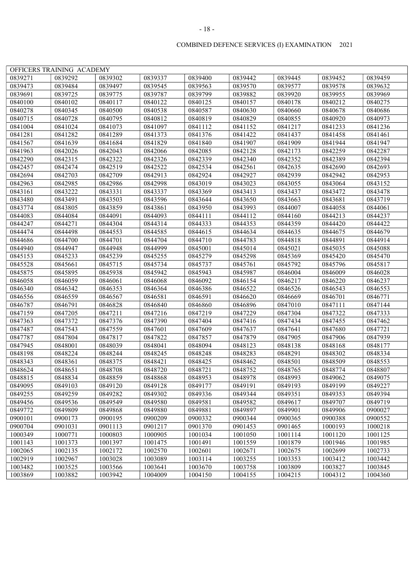|         | OFFICERS TRAINING ACADEMY |         |         |         |         |         |         |         |
|---------|---------------------------|---------|---------|---------|---------|---------|---------|---------|
| 0839271 | 0839292                   | 0839302 | 0839337 | 0839400 | 0839442 | 0839445 | 0839452 | 0839459 |
| 0839473 | 0839484                   | 0839497 | 0839545 | 0839563 | 0839570 | 0839577 | 0839578 | 0839632 |
| 0839691 | 0839725                   | 0839775 | 0839787 | 0839799 | 0839882 | 0839920 | 0839955 | 0839969 |
| 0840100 | 0840102                   | 0840117 | 0840122 | 0840125 | 0840157 | 0840178 | 0840212 | 0840275 |
| 0840278 | 0840345                   | 0840500 | 0840538 | 0840587 | 0840630 | 0840660 | 0840678 | 0840686 |
| 0840715 | 0840728                   | 0840795 | 0840812 | 0840819 | 0840829 | 0840855 | 0840920 | 0840973 |
| 0841004 | 0841024                   | 0841073 | 0841097 | 0841112 | 0841152 | 0841217 | 0841233 | 0841236 |
| 0841281 | 0841282                   | 0841289 | 0841373 | 0841376 | 0841422 | 0841437 | 0841458 | 0841461 |
| 0841567 | 0841639                   | 0841684 | 0841829 | 0841840 | 0841907 | 0841909 | 0841944 | 0841947 |
| 0841963 | 0842026                   | 0842043 | 0842066 | 0842085 | 0842128 | 0842173 | 0842259 | 0842287 |
| 0842290 | 0842315                   | 0842322 | 0842326 | 0842339 | 0842340 | 0842352 | 0842389 | 0842394 |
| 0842457 | 0842474                   | 0842519 | 0842522 | 0842534 | 0842561 | 0842635 | 0842690 | 0842693 |
| 0842694 | 0842703                   | 0842709 | 0842913 | 0842924 | 0842927 | 0842939 | 0842942 | 0842953 |
| 0842963 | 0842985                   | 0842986 | 0842998 | 0843019 | 0843023 | 0843055 | 0843064 | 0843152 |
| 0843161 | 0843222                   | 0843331 | 0843337 | 0843369 | 0843413 | 0843437 | 0843472 | 0843478 |
| 0843480 | 0843491                   | 0843503 | 0843596 | 0843644 | 0843650 | 0843663 | 0843681 | 0843719 |
| 0843774 | 0843805                   | 0843859 | 0843861 | 0843950 | 0843993 | 0844007 | 0844058 | 0844061 |
| 0844083 | 0844084                   | 0844091 | 0844093 | 0844111 | 0844112 | 0844160 | 0844213 | 0844237 |
| 0844247 | 0844271                   | 0844304 | 0844314 | 0844333 | 0844353 | 0844359 | 0844420 | 0844422 |
| 0844474 | 0844498                   | 0844553 | 0844585 | 0844615 | 0844634 | 0844635 | 0844675 | 0844679 |
| 0844686 | 0844700                   | 0844701 | 0844704 | 0844710 | 0844783 | 0844818 | 0844891 | 0844914 |
| 0844940 | 0844947                   | 0844948 | 0844999 | 0845001 | 0845014 | 0845021 | 0845035 | 0845088 |
| 0845153 | 0845233                   | 0845239 | 0845255 | 0845279 | 0845298 | 0845369 | 0845420 | 0845470 |
| 0845528 | 0845661                   | 0845715 | 0845734 | 0845737 | 0845761 | 0845792 | 0845796 | 0845817 |
| 0845875 | 0845895                   | 0845938 | 0845942 | 0845943 | 0845987 | 0846004 | 0846009 | 0846028 |
| 0846058 | 0846059                   | 0846061 | 0846068 | 0846092 | 0846154 | 0846217 | 0846220 | 0846237 |
| 0846340 | 0846342                   | 0846353 | 0846364 | 0846386 | 0846522 | 0846526 | 0846543 | 0846553 |
| 0846556 | 0846559                   | 0846567 | 0846581 | 0846591 | 0846620 | 0846669 | 0846701 | 0846771 |
| 0846787 | 0846791                   | 0846828 | 0846840 | 0846860 | 0846896 | 0847010 | 0847111 | 0847144 |
| 0847159 | 0847205                   | 0847211 | 0847216 | 0847219 | 0847229 | 0847304 | 0847322 | 0847333 |
| 0847363 | 0847372                   | 0847376 | 0847390 | 0847404 | 0847416 | 0847434 | 0847455 | 0847462 |
| 0847487 | 0847543                   | 0847559 | 0847601 | 0847609 | 0847637 | 0847641 | 0847680 | 0847721 |
| 0847787 | 0847804                   | 0847817 | 0847822 | 0847857 | 0847879 | 0847905 | 0847906 | 0847939 |
| 0847945 | 0848001                   | 0848039 | 0848041 | 0848094 | 0848123 | 0848138 | 0848168 | 0848177 |
| 0848198 | 0848224                   | 0848244 | 0848245 | 0848248 | 0848283 | 0848291 | 0848302 | 0848334 |
| 0848343 | 0848361                   | 0848375 | 0848421 | 0848425 | 0848462 | 0848501 | 0848509 | 0848553 |
| 0848624 | 0848651                   | 0848708 | 0848720 | 0848721 | 0848752 | 0848765 | 0848774 | 0848807 |
| 0848815 | 0848834                   | 0848859 | 0848868 | 0848953 | 0848978 | 0848993 | 0849062 | 0849075 |
| 0849095 | 0849103                   | 0849120 | 0849128 | 0849177 | 0849191 | 0849193 | 0849199 | 0849227 |
| 0849255 | 0849259                   | 0849282 | 0849302 | 0849336 | 0849344 | 0849351 | 0849353 | 0849394 |
| 0849456 | 0849536                   | 0849549 | 0849580 | 0849581 | 0849582 | 0849617 | 0849707 | 0849719 |
| 0849772 | 0849809                   | 0849868 | 0849880 | 0849881 | 0849897 | 0849901 | 0849906 | 0900027 |
| 0900101 | 0900173                   | 0900195 | 0900209 | 0900332 | 0900344 | 0900365 | 0900388 | 0900552 |
| 0900704 | 0901031                   | 0901113 | 0901217 | 0901370 | 0901453 | 0901465 | 1000193 | 1000218 |
| 1000349 | 1000771                   | 1000803 | 1000905 | 1001034 | 1001050 | 1001114 | 1001120 | 1001125 |
| 1001143 | 1001373                   | 1001397 | 1001475 | 1001491 | 1001559 | 1001879 | 1001946 | 1001985 |
| 1002065 | 1002135                   | 1002172 | 1002570 | 1002601 | 1002671 | 1002675 | 1002699 | 1002733 |
| 1002919 | 1002967                   | 1003028 | 1003089 | 1003114 | 1003255 | 1003353 | 1003412 | 1003442 |
| 1003482 | 1003525                   | 1003566 | 1003641 | 1003670 | 1003758 | 1003809 | 1003827 | 1003845 |
| 1003869 | 1003882                   | 1003942 | 1004009 | 1004150 | 1004155 | 1004215 | 1004312 | 1004360 |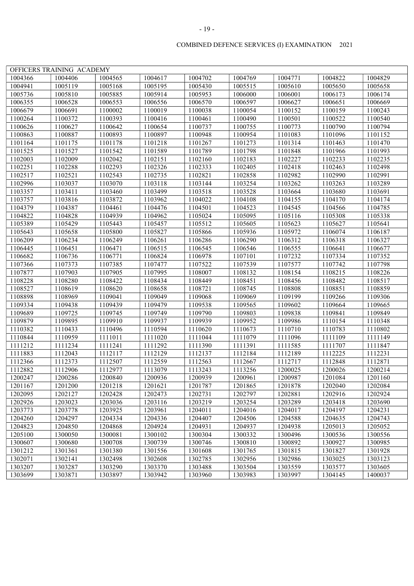|                    | OFFICERS TRAINING ACADEMY |                      |         |                    |                    |                    |                    |         |
|--------------------|---------------------------|----------------------|---------|--------------------|--------------------|--------------------|--------------------|---------|
| 1004366            | 1004406                   | 1004565              | 1004617 | 1004702            | 1004769            | 1004771            | 1004822            | 1004829 |
| 1004941            | 1005119                   | 1005168              | 1005195 | 1005430            | 1005515            | 1005610            | 1005650            | 1005658 |
| 1005736            | 1005810                   | 1005885              | 1005914 | 1005953            | 1006000            | 1006001            | 1006173            | 1006174 |
| 1006355            | 1006528                   | 1006553              | 1006556 | 1006570            | 1006597            | 1006627            | 1006651            | 1006669 |
| 1006679            | 1006691                   | 1100002              | 1100019 | 1100038            | 1100054            | 1100152            | 1100159            | 1100243 |
| 1100264            | 1100372                   | 1100393              | 1100416 | 1100461            | 1100490            | 1100501            | 1100522            | 1100540 |
| 1100626            | 1100627                   | 1100642              | 1100654 | 1100737            | 1100755            | 1100773            | 1100790            | 1100794 |
| 1100863            | 1100887                   | 1100893              | 1100897 | 1100948            | 1100954            | 1101083            | 1101096            | 1101152 |
| 1101164            | 1101175                   | 1101178              | 1101218 | 1101267            | 1101273            | 1101314            | 1101463            | 1101470 |
| 1101525            | 1101527                   | 1101542              | 1101589 | 1101789            | 1101798            | 1101848            | 1101966            | 1101993 |
| 1102003            | 1102009                   | 1102042              | 1102151 | 1102160            | 1102183            | 1102227            | 1102233            | 1102235 |
| 1102251            | 1102288                   | 1102293              | 1102326 | 1102333            | 1102405            | 1102418            | 1102463            | 1102498 |
| 1102517            | 1102521                   | 1102543              | 1102735 | 1102821            | 1102858            | 1102982            | 1102990            | 1102991 |
| 1102996            |                           | 1103070              | 1103118 | 1103144            | 1103254            | 1103262            | 1103263            | 1103289 |
| 1103357            | 1103037<br>1103411        | 1103460              | 1103499 | 1103518            | 1103528            | 1103664            | 1103680            | 1103691 |
| 1103757            | 1103816                   |                      | 1103962 |                    | 1104108            | 1104155            |                    |         |
|                    |                           | 1103872              |         | 1104022            |                    |                    | 1104170            | 1104174 |
| 1104379<br>1104822 | 1104387<br>1104828        | 1104461<br>1104939   | 1104476 | 1104501<br>1105024 | 1104523<br>1105095 | 1104545<br>1105116 | 1104566<br>1105308 | 1104785 |
| 1105389            |                           |                      | 1104962 |                    |                    |                    |                    | 1105338 |
|                    | 1105429                   | 1105443              | 1105457 | 1105512            | 1105605            | 1105623            | 1105627            | 1105641 |
| 1105643<br>1106209 | 1105658                   | 1105800              | 1105827 | 1105866            | 1105936<br>1106290 | 1105972            | 1106074            | 1106187 |
|                    | 1106234<br>1106451        | 1106249              | 1106261 | 1106286            |                    | 1106312            | 1106318            | 1106327 |
| 1106445            |                           | 1106471              | 1106515 | 1106545            | 1106546            | 1106555            | 1106641            | 1106677 |
| 1106682            | 1106736                   | 1106771              | 1106824 | 1106978            | 1107101            | 1107232            | 1107334            | 1107352 |
| 1107366            | 1107373                   | 1107385              | 1107477 | 1107522            | 1107539            | 1107577            | 1107742            | 1107798 |
| 1107877            | 1107903                   | 1107905              | 1107995 | 1108007            | 1108132            | 1108154            | 1108215            | 1108226 |
| 1108228            | 1108280                   | 1108422              | 1108434 | 1108449            | 1108451            | 1108456            | 1108482            | 1108517 |
| 1108527            | 1108619                   | 1108620              | 1108658 | 1108721            | 1108745            | 1108808            | 1108851            | 1108859 |
| 1108898            | 1108969                   | 1109041              | 1109049 | 1109068            | 1109069            | 1109199            | 1109266            | 1109306 |
| 1109334            | 1109438                   | 1109439              | 1109479 | 1109538            | 1109565            | 1109602            | 1109664            | 1109665 |
| 1109689            | 1109725                   | $\overline{1}109745$ | 1109749 | 1109790            | 1109803            | 1109838            | 1109841            | 1109849 |
| 1109879            | 1109895                   | 1109910              | 1109937 | 1109939            | 1109952            | 1109986            | 1110154            | 1110348 |
| 1110382            | 1110433                   | 1110496              | 1110594 | 1110620            | 1110673            | 1110710            | 1110783            | 1110802 |
| 1110844            | 1110959                   | 1111011              | 1111020 | 1111044            | 1111079            | 1111096            | 1111109            | 1111149 |
| 1111212            | 1111234                   | 1111241              | 1111292 | 1111390            | 1111391            | 1111585            | 1111707            | 1111847 |
| 1111883            | 1112043                   | 1112117              | 1112129 | 1112137            | 1112184            | 1112189            | 1112225            | 1112231 |
| 1112366            | 1112373                   | 1112507              | 1112559 | 1112563            | 1112667            | 1112717            | 1112848            | 1112871 |
| 1112882            | 1112906                   | 1112977              | 1113079 | 1113243            | 1113256            | 1200025            | 1200026            | 1200214 |
| 1200247            | 1200286                   | 1200840              | 1200936 | 1200939            | 1200961            | 1200987            | 1201084            | 1201160 |
| 1201167            | 1201200                   | 1201218              | 1201621 | 1201787            | 1201865            | 1201878            | 1202040            | 1202084 |
| 1202095            | 1202127                   | 1202428              | 1202473 | 1202731            | 1202797            | 1202881            | 1202916            | 1202924 |
| 1202926            | 1203023                   | 1203036              | 1203116 | 1203219            | 1203254            | 1203289            | 1203418            | 1203690 |
| 1203773            | 1203778                   | 1203925              | 1203961 | 1204011            | 1204016            | 1204017            | 1204197            | 1204231 |
| 1204260            | 1204297                   | 1204334              | 1204336 | 1204407            | 1204506            | 1204588            | 1204635            | 1204743 |
| 1204823            | 1204850                   | 1204868              | 1204924 | 1204931            | 1204937            | 1204938            | 1205013            | 1205052 |
| 1205100            | 1300050                   | 1300081              | 1300102 | 1300304            | 1300332            | 1300496            | 1300536            | 1300556 |
| 1300607            | 1300680                   | 1300708              | 1300739 | 1300746            | 1300810            | 1300892            | 1300927            | 1300985 |
| 1301212            | 1301361                   | 1301380              | 1301556 | 1301608            | 1301765            | 1301815            | 1301827            | 1301928 |
| 1302071            | 1302141                   | 1302498              | 1302608 | 1302785            | 1302956            | 1302986            | 1303025            | 1303123 |
| 1303207            | 1303287                   | 1303290              | 1303370 | 1303488            | 1303504            | 1303559            | 1303577            | 1303605 |
| 1303699            | 1303871                   | 1303897              | 1303942 | 1303960            | 1303983            | 1303997            | 1304145            | 1400037 |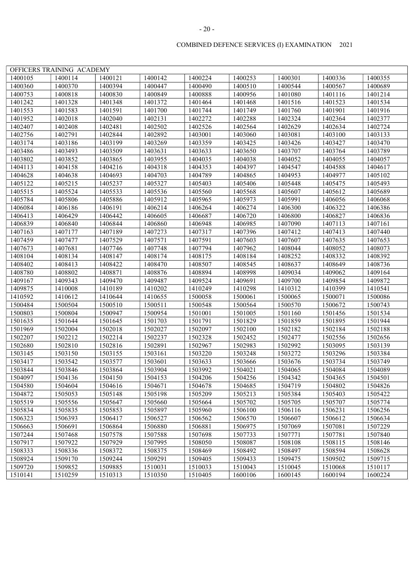|         | OFFICERS TRAINING ACADEMY |         |         |                    |                    |                    |         |         |
|---------|---------------------------|---------|---------|--------------------|--------------------|--------------------|---------|---------|
| 1400105 | 1400114                   | 1400121 | 1400142 | 1400224            | 1400253            | 1400301            | 1400336 | 1400355 |
| 1400360 | 1400370                   | 1400394 | 1400447 | 1400490            | 1400510            | 1400544            | 1400567 | 1400689 |
| 1400753 | 1400818                   | 1400830 | 1400849 | 1400888            | 1400956            | 1401080            | 1401116 | 1401214 |
| 1401242 | 1401328                   | 1401348 | 1401372 | 1401464            | 1401468            | 1401516            | 1401523 | 1401534 |
| 1401553 | 1401583                   | 1401591 | 1401700 | 1401744            | 1401749            | 1401760            | 1401901 | 1401916 |
| 1401952 | 1402018                   | 1402040 | 1402131 | 1402272            | 1402288            | 1402324            | 1402364 | 1402377 |
| 1402407 | 1402408                   | 1402481 | 1402502 | 1402526            | 1402564            | 1402629            | 1402634 | 1402724 |
| 1402756 | 1402791                   | 1402844 | 1402892 | 1403001            | 1403060            | 1403081            | 1403100 | 1403133 |
| 1403174 | 1403186                   | 1403199 | 1403269 | 1403359            | 1403425            | 1403426            | 1403427 | 1403470 |
| 1403486 | 1403493                   | 1403509 | 1403631 | 1403633            | 1403650            | 1403707            | 1403764 | 1403789 |
| 1403802 | 1403852                   | 1403865 | 1403955 | 1404035            | 1404038            | 1404052            | 1404055 | 1404057 |
| 1404113 | 1404158                   | 1404216 | 1404318 | 1404353            | 1404397            | 1404547            | 1404588 | 1404617 |
| 1404628 | 1404638                   | 1404693 | 1404703 | 1404789            | 1404865            | 1404953            | 1404977 | 1405102 |
| 1405122 | 1405215                   | 1405237 | 1405327 | 1405403            | 1405406            | 1405448            | 1405475 | 1405493 |
| 1405515 | 1405524                   | 1405533 | 1405536 | 1405560            | 1405568            | 1405607            | 1405612 | 1405689 |
| 1405784 |                           |         |         |                    |                    |                    |         |         |
|         | 1405806                   | 1405886 | 1405912 | 1405965            | 1405973            | 1405991            | 1406056 | 1406068 |
| 1406084 | 1406186                   | 1406191 | 1406214 | 1406264<br>1406687 | 1406274            | 1406300            | 1406322 | 1406386 |
| 1406413 | 1406429                   | 1406442 | 1406605 |                    | 1406720            | 1406800            | 1406827 | 1406836 |
| 1406839 | 1406840                   | 1406844 | 1406860 | 1406948            | 1406985            | 1407090<br>1407412 | 1407113 | 1407161 |
| 1407163 | 1407177                   | 1407189 | 1407273 | 1407317            | 1407396            | 1407607            | 1407413 | 1407440 |
| 1407459 | 1407477                   | 1407529 | 1407571 | 1407591            | 1407603            |                    | 1407635 | 1407653 |
| 1407673 | 1407681                   | 1407746 | 1407748 | 1407794            | 1407962<br>1408184 | 1408044            | 1408052 | 1408073 |
| 1408104 | 1408134                   | 1408147 | 1408174 | 1408175            |                    | 1408252            | 1408332 | 1408392 |
| 1408402 | 1408413                   | 1408422 | 1408470 | 1408507            | 1408545            | 1408637            | 1408649 | 1408736 |
| 1408780 | 1408802                   | 1408871 | 1408876 | 1408894            | 1408998            | 1409034            | 1409062 | 1409164 |
| 1409167 | 1409343                   | 1409470 | 1409487 | 1409524            | 1409691            | 1409700            | 1409854 | 1409872 |
| 1409875 | 1410008                   | 1410189 | 1410202 | 1410249            | 1410298            | 1410312            | 1410399 | 1410541 |
| 1410592 | 1410612                   | 1410644 | 1410655 | 1500058            | 1500061            | 1500065            | 1500071 | 1500086 |
| 1500484 | 1500504                   | 1500510 | 1500511 | 1500548            | 1500564            | 1500570            | 1500672 | 1500743 |
| 1500803 | 1500804                   | 1500947 | 1500954 | 1501001            | 1501005            | 1501160            | 1501456 | 1501534 |
| 1501635 | 1501644                   | 1501645 | 1501703 | 1501791            | 1501829            | 1501859            | 1501895 | 1501944 |
| 1501969 | 1502004                   | 1502018 | 1502027 | 1502097            | 1502100            | 1502182            | 1502184 | 1502188 |
| 1502207 | 1502212                   | 1502214 | 1502237 | 1502328            | 1502452            | 1502477            | 1502556 | 1502656 |
| 1502680 | 1502810                   | 1502816 | 1502891 | 1502967            | 1502983            | 1502992            | 1503095 | 1503139 |
| 1503145 | 1503150                   | 1503155 | 1503161 | 1503220            | 1503248            | 1503272            | 1503296 | 1503384 |
| 1503417 | 1503542                   | 1503577 | 1503601 | 1503633            | 1503666            | 1503676            | 1503734 | 1503749 |
| 1503844 | 1503846                   | 1503864 | 1503904 | 1503992            | 1504021            | 1504065            | 1504084 | 1504089 |
| 1504097 | 1504136                   | 1504150 | 1504153 | 1504206            | 1504256            | 1504342            | 1504365 | 1504501 |
| 1504580 | 1504604                   | 1504616 | 1504671 | 1504678            | 1504685            | 1504719            | 1504802 | 1504826 |
| 1504872 | 1505053                   | 1505148 | 1505198 | 1505209            | 1505213            | 1505384            | 1505403 | 1505422 |
| 1505519 | 1505556                   | 1505647 | 1505660 | 1505664            | 1505702            | 1505705            | 1505707 | 1505774 |
| 1505834 | 1505835                   | 1505853 | 1505897 | 1505960            | 1506100            | 1506116            | 1506231 | 1506256 |
| 1506323 | 1506393                   | 1506417 | 1506527 | 1506562            | 1506570            | 1506607            | 1506612 | 1506634 |
| 1506663 | 1506691                   | 1506864 | 1506880 | 1506881            | 1506975            | 1507069            | 1507081 | 1507229 |
| 1507244 | 1507468                   | 1507578 | 1507588 | 1507698            | 1507733            | 1507771            | 1507781 | 1507840 |
| 1507917 | 1507922                   | 1507929 | 1507995 | 1508050            | 1508087            | 1508108            | 1508115 | 1508146 |
| 1508333 | 1508336                   | 1508372 | 1508375 | 1508469            | 1508492            | 1508497            | 1508594 | 1508628 |
| 1508924 | 1509170                   | 1509244 | 1509291 | 1509405            | 1509433            | 1509475            | 1509502 | 1509715 |
| 1509720 | 1509852                   | 1509885 | 1510031 | 1510033            | 1510043            | 1510045            | 1510068 | 1510117 |
| 1510141 | 1510259                   | 1510313 | 1510350 | 1510405            | 1600106            | 1600145            | 1600194 | 1600224 |

#### - 20 -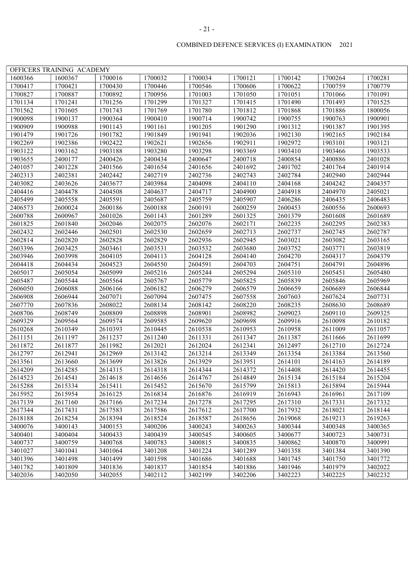|                    | OFFICERS TRAINING ACADEMY |                    |         |                    |                    |         |         |         |
|--------------------|---------------------------|--------------------|---------|--------------------|--------------------|---------|---------|---------|
| 1600366            | 1600367                   | 1700016            | 1700032 | 1700034            | 1700121            | 1700142 | 1700264 | 1700281 |
| 1700417            | 1700421                   | 1700430            | 1700446 | 1700546            | 1700606            | 1700622 | 1700759 | 1700779 |
| 1700827            | 1700887                   | 1700892            | 1700956 | 1701003            | 1701050            | 1701051 | 1701066 | 1701091 |
| 1701134            | 1701241                   | 1701256            | 1701299 | 1701327            | 1701415            | 1701490 | 1701493 | 1701525 |
| 1701562            | 1701605                   | 1701743            | 1701769 | 1701780            | 1701812            | 1701868 | 1701886 | 1800056 |
| 1900098            | 1900137                   | 1900364            | 1900410 | 1900714            | 1900742            | 1900755 | 1900763 | 1900901 |
| 1900909            | 1900988                   | 1901143            | 1901161 | 1901205            | 1901290            | 1901312 | 1901387 | 1901395 |
| 1901479            | 1901726                   | 1901782            | 1901849 | 1901941            | 1902036            | 1902130 | 1902165 | 1902184 |
| 1902269            | 1902386                   | 1902422            | 1902621 | 1902656            | 1902911            | 1902972 | 1903101 | 1903121 |
| 1903122            | 1903162                   | 1903188            | 1903280 | 1903298            | 1903369            | 1903410 | 1903466 | 1903533 |
| 1903655            | 2400177                   | 2400426            | 2400434 | 2400647            | 2400718            | 2400854 | 2400886 | 2401028 |
| 2401057            | 2401228                   | 2401566            | 2401654 | 2401656            | 2401692            | 2401702 | 2401764 | 2401914 |
| 2402313            | 2402381                   | 2402442            | 2402719 | 2402736            | 2402743            | 2402784 | 2402940 | 2402944 |
| 2403082            | 2403626                   | 2403677            | 2403984 | 2404098            | 2404110            | 2404168 | 2404242 | 2404357 |
| 2404416            | 2404478                   | 2404508            | 2404637 | 2404717            | 2404900            | 2404918 | 2404970 | 2405021 |
|                    | 2405558                   |                    |         |                    |                    |         |         | 2406483 |
| 2405499<br>2406573 | 2600024                   | 2405591<br>2600186 | 2405687 | 2405759            | 2405907            | 2406286 | 2406435 |         |
| 2600788            |                           |                    | 2600188 | 2600191<br>2601289 | 2600259<br>2601325 | 2600453 | 2600556 | 2600693 |
| 2601825            | 2600967                   | 2601026            | 2601143 |                    | 2602171            | 2601379 | 2601608 | 2601689 |
|                    | 2601840                   | 2602046            | 2602075 | 2602076            |                    | 2602235 | 2602295 | 2602383 |
| 2602432            | 2602446                   | 2602501            | 2602530 | 2602659            | 2602713            | 2602737 | 2602745 | 2602787 |
| 2602814            | 2602820                   | 2602828            | 2602829 | 2602936            | 2602945            | 2603021 | 2603082 | 2603165 |
| 2603396            | 2603425                   | 2603461            | 2603531 | 2603532            | 2603680            | 2603752 | 2603771 | 2603819 |
| 2603946            | 2603998                   | 2604105            | 2604113 | 2604128            | 2604140            | 2604270 | 2604317 | 2604379 |
| 2604418            | 2604434                   | 2604523            | 2604550 | 2604591            | 2604703            | 2604751 | 2604791 | 2604896 |
| 2605017            | 2605054                   | 2605099            | 2605216 | 2605244            | 2605294            | 2605310 | 2605451 | 2605480 |
| 2605487            | 2605544                   | 2605564            | 2605767 | 2605779            | 2605825            | 2605839 | 2605846 | 2605969 |
| 2606050            | 2606088                   | 2606166            | 2606182 | 2606279            | 2606579            | 2606659 | 2606689 | 2606844 |
| 2606908            | 2606944                   | 2607071            | 2607094 | 2607475            | 2607558            | 2607603 | 2607624 | 2607731 |
| 2607770            | 2607836                   | 2608022            | 2608134 | 2608142            | 2608220            | 2608235 | 2608630 | 2608689 |
| 2608706            | 2608749                   | 2608809            | 2608898 | 2608901            | 2608982            | 2609023 | 2609110 | 2609325 |
| 2609329            | 2609564                   | 2609574            | 2609585 | 2609620            | 2609698            | 2609916 | 2610098 | 2610182 |
| 2610268            | 2610349                   | 2610393            | 2610445 | 2610538            | 2610953            | 2610958 | 2611009 | 2611057 |
| 2611151            | 2611197                   | 2611237            | 2611240 | 2611331            | 2611347            | 2611387 | 2611666 | 2611699 |
| 2611872            | 2611877                   | 2611982            | 2612021 | 2612024            | 2612341            | 2612497 | 2612710 | 2612724 |
| 2612797            | 2612941                   | 2612969            | 2613142 | 2613214            | 2613349            | 2613354 | 2613384 | 2613560 |
| 2613561            | 2613660                   | 2613699            | 2613826 | 2613929            | 2613951            | 2614101 | 2614163 | 2614189 |
| 2614209            | 2614285                   | 2614315            | 2614318 | 2614344            | 2614372            | 2614408 | 2614420 | 2614455 |
| 2614523            | 2614541                   | 2614618            | 2614656 | 2614767            | 2614849            | 2615134 | 2615184 | 2615204 |
| 2615288            | 2615334                   | 2615411            | 2615452 | 2615670            | 2615799            | 2615813 | 2615894 | 2615944 |
| 2615952            | 2615954                   | 2616125            | 2616834 | 2616876            | 2616919            | 2616943 | 2616961 | 2617109 |
| 2617139            | 2617160                   | 2617166            | 2617234 | 2617278            | 2617295            | 2617310 | 2617331 | 2617332 |
| 2617344            | 2617431                   | 2617583            | 2617586 | 2617612            | 2617700            | 2617932 | 2618021 | 2618144 |
| 2618188            | 2618254                   | 2618394            | 2618524 | 2618587            | 2618656            | 2619068 | 2619213 | 2619263 |
| 3400076            | 3400143                   | 3400153            | 3400206 | 3400243            | 3400263            | 3400344 | 3400348 | 3400365 |
| 3400401            | 3400404                   | 3400433            | 3400439 | 3400545            | 3400605            | 3400677 | 3400723 | 3400731 |
| 3400737            | 3400759                   | 3400768            | 3400783 | 3400815            | 3400835            | 3400862 | 3400870 | 3400991 |
| 3401027            | 3401041                   | 3401064            | 3401208 | 3401224            | 3401289            | 3401358 | 3401384 | 3401390 |
| 3401396            | 3401498                   | 3401499            | 3401598 | 3401686            | 3401688            | 3401745 | 3401750 | 3401772 |
| 3401782            | 3401809                   | 3401836            | 3401837 | 3401854            | 3401886            | 3401946 | 3401979 | 3402022 |
| 3402036            | 3402050                   | 3402055            | 3402112 | 3402199            | 3402206            | 3402223 | 3402225 | 3402232 |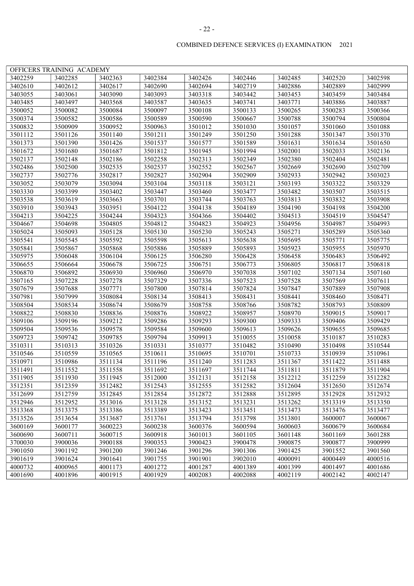|         | OFFICERS TRAINING ACADEMY |         |         |         |         |         |         |         |
|---------|---------------------------|---------|---------|---------|---------|---------|---------|---------|
| 3402259 | 3402285                   | 3402363 | 3402384 | 3402426 | 3402446 | 3402485 | 3402520 | 3402598 |
| 3402610 | 3402612                   | 3402617 | 3402690 | 3402694 | 3402719 | 3402886 | 3402889 | 3402999 |
| 3403055 | 3403061                   | 3403090 | 3403093 | 3403318 | 3403442 | 3403453 | 3403459 | 3403484 |
| 3403485 | 3403497                   | 3403568 | 3403587 | 3403635 | 3403741 | 3403771 | 3403886 | 3403887 |
| 3500052 | 3500082                   | 3500084 | 3500097 | 3500108 | 3500133 | 3500265 | 3500283 | 3500366 |
| 3500374 | 3500582                   | 3500586 | 3500589 | 3500590 | 3500667 | 3500788 | 3500794 | 3500804 |
| 3500832 | 3500909                   | 3500952 | 3500963 | 3501012 | 3501030 | 3501057 | 3501060 | 3501088 |
| 3501112 | 3501126                   | 3501140 | 3501211 | 3501249 | 3501250 | 3501288 | 3501347 | 3501370 |
| 3501373 | 3501390                   | 3501426 | 3501537 | 3501577 | 3501589 | 3501631 | 3501634 | 3501650 |
| 3501672 | 3501680                   | 3501687 | 3501812 | 3501945 | 3501994 | 3502001 | 3502033 | 3502136 |
| 3502137 | 3502148                   | 3502186 | 3502258 | 3502313 | 3502349 | 3502380 | 3502404 | 3502481 |
| 3502486 | 3502500                   | 3502535 | 3502537 | 3502552 | 3502567 | 3502669 | 3502690 | 3502709 |
| 3502737 | 3502776                   | 3502817 | 3502827 | 3502904 | 3502909 | 3502933 | 3502942 | 3503023 |
| 3503052 | 3503079                   | 3503094 | 3503104 | 3503118 | 3503121 | 3503193 | 3503322 | 3503329 |
| 3503330 | 3503399                   | 3503402 | 3503447 | 3503460 | 3503477 | 3503482 | 3503507 | 3503515 |
| 3503538 | 3503619                   | 3503663 | 3503701 | 3503744 | 3503763 | 3503813 | 3503832 | 3503908 |
| 3503910 | 3503943                   | 3503951 | 3504122 | 3504138 | 3504189 | 3504190 | 3504198 | 3504200 |
| 3504213 | 3504225                   | 3504244 | 3504323 | 3504366 | 3504402 | 3504513 | 3504519 | 3504547 |
| 3504667 | 3504698                   | 3504805 | 3504812 | 3504823 | 3504923 | 3504956 | 3504987 | 3504993 |
| 3505024 | 3505093                   | 3505128 | 3505130 | 3505230 | 3505243 | 3505271 | 3505289 | 3505360 |
| 3505541 | 3505545                   | 3505592 | 3505598 | 3505613 | 3505638 | 3505695 | 3505771 | 3505775 |
| 3505841 | 3505867                   | 3505868 | 3505886 | 3505889 | 3505893 | 3505923 | 3505955 | 3505970 |
| 3505975 | 3506048                   | 3506104 | 3506125 | 3506280 | 3506428 | 3506458 | 3506483 | 3506492 |
| 3506655 | 3506664                   | 3506678 | 3506725 | 3506751 | 3506773 | 3506805 | 3506817 | 3506818 |
| 3506870 | 3506892                   | 3506930 | 3506960 | 3506970 | 3507038 | 3507102 | 3507134 | 3507160 |
| 3507165 | 3507228                   | 3507278 | 3507329 | 3507336 | 3507523 | 3507528 | 3507569 | 3507611 |
| 3507679 | 3507688                   | 3507771 | 3507800 | 3507814 | 3507824 | 3507847 | 3507889 | 3507908 |
| 3507981 | 3507999                   | 3508084 | 3508134 | 3508413 | 3508431 | 3508441 | 3508460 | 3508471 |
| 3508504 | 3508534                   | 3508674 | 3508679 | 3508758 | 3508766 | 3508782 | 3508793 | 3508809 |
| 3508822 | 3508830                   | 3508836 | 3508876 | 3508922 | 3508957 | 3508970 | 3509015 | 3509017 |
| 3509106 | 3509196                   | 3509212 | 3509286 | 3509293 | 3509300 | 3509333 | 3509406 | 3509429 |
| 3509504 | 3509536                   | 3509578 | 3509584 | 3509600 | 3509613 | 3509626 | 3509655 | 3509685 |
| 3509723 | 3509742                   | 3509785 | 3509794 | 3509913 | 3510055 | 3510058 | 3510187 | 3510283 |
| 3510311 | 3510313                   | 3510326 | 3510331 | 3510377 | 3510482 | 3510490 | 3510498 | 3510544 |
| 3510546 | 3510559                   | 3510565 | 3510611 | 3510695 | 3510701 | 3510733 | 3510939 | 3510961 |
| 3510971 | 3510986                   | 3511134 | 3511196 | 3511240 | 3511283 | 3511367 | 3511422 | 3511488 |
| 3511491 | 3511552                   | 3511558 | 3511692 | 3511697 | 3511744 | 3511811 | 3511879 | 3511904 |
| 3511905 | 3511930                   | 3511945 | 3512000 | 3512131 | 3512158 | 3512212 | 3512259 | 3512282 |
| 3512351 | 3512359                   | 3512482 | 3512543 | 3512555 | 3512582 | 3512604 | 3512650 | 3512674 |
| 3512699 | 3512759                   | 3512845 | 3512854 | 3512872 | 3512888 | 3512895 | 3512928 | 3512932 |
| 3512946 | 3512952                   | 3513016 | 3513128 | 3513152 | 3513231 | 3513262 | 3513319 | 3513350 |
| 3513368 | 3513375                   | 3513386 | 3513389 | 3513423 | 3513451 | 3513473 | 3513476 | 3513477 |
| 3513526 | 3513654                   | 3513687 | 3513761 | 3513794 | 3513798 | 3513801 | 3600007 | 3600067 |
| 3600169 | 3600177                   | 3600223 | 3600238 | 3600376 | 3600594 | 3600603 | 3600679 | 3600684 |
| 3600690 | 3600711                   | 3600715 | 3600918 | 3601013 | 3601105 | 3601148 | 3601169 | 3601288 |
| 3700030 | 3900036                   | 3900188 | 3900353 | 3900423 | 3900478 | 3900875 | 3900877 | 3900999 |
| 3901050 | 3901192                   | 3901200 | 3901246 | 3901296 | 3901306 | 3901425 | 3901552 | 3901560 |
| 3901619 | 3901624                   | 3901641 | 3901755 | 3901901 | 3902010 | 4000091 | 4000449 | 4000516 |
| 4000732 | 4000965                   | 4001173 | 4001272 | 4001287 | 4001389 | 4001399 | 4001497 | 4001686 |
| 4001690 | 4001896                   | 4001915 | 4001929 | 4002083 | 4002088 | 4002119 | 4002142 | 4002147 |